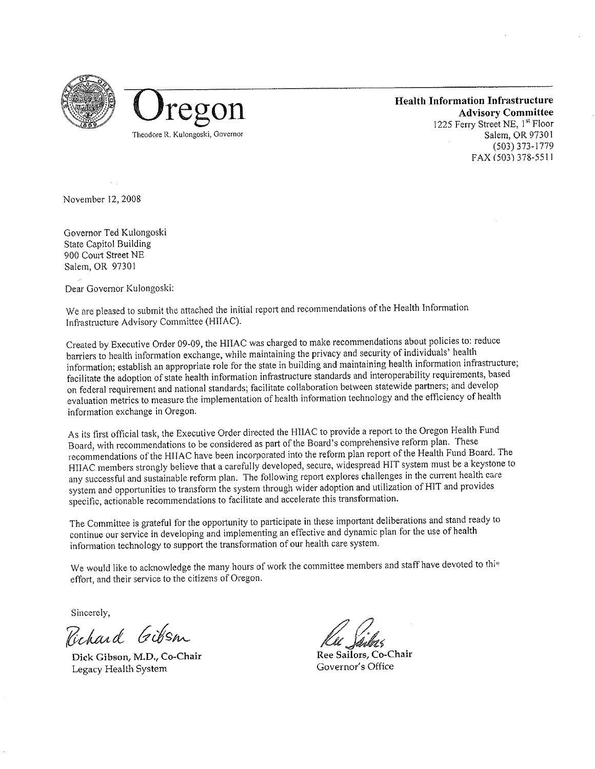

**Health Information Infrastructure Advisory Committee** 1225 Ferry Street NE, 1st Floor Salem, OR 97301  $(503)$  373-1779 FAX (503) 378-5511

November 12, 2008

Governor Ted Kulongoski State Capitol Building 900 Court Street NE Salem, OR 97301

Dear Governor Kulongoski:

We are pleased to submit the attached the initial report and recommendations of the Health Information Infrastructure Advisory Committee (HIIAC).

Created by Executive Order 09-09, the HIIAC was charged to make recommendations about policies to: reduce barriers to health information exchange, while maintaining the privacy and security of individuals' health information; establish an appropriate role for the state in building and maintaining health information infrastructure; facilitate the adoption of state health information infrastructure standards and interoperability requirements, based on federal requirement and national standards; facilitate collaboration between statewide partners; and develop evaluation metrics to measure the implementation of health information technology and the efficiency of health information exchange in Oregon.

As its first official task, the Executive Order directed the HIIAC to provide a report to the Oregon Health Fund Board, with recommendations to be considered as part of the Board's comprehensive reform plan. These recommendations of the HIIAC have been incorporated into the reform plan report of the Health Fund Board. The HIIAC members strongly believe that a carefully developed, secure, widespread HIT system must be a keystone to any successful and sustainable reform plan. The following report explores challenges in the current health care system and opportunities to transform the system through wider adoption and utilization of HIT and provides specific, actionable recommendations to facilitate and accelerate this transformation.

The Committee is grateful for the opportunity to participate in these important deliberations and stand ready to continue our service in developing and implementing an effective and dynamic plan for the use of health information technology to support the transformation of our health care system.

We would like to acknowledge the many hours of work the committee members and staff have devoted to this effort, and their service to the citizens of Oregon.

Sincerely.

Richard Gibson

Dick Gibson, M.D., Co-Chair Legacy Health System

Ree Sailors. Co-Chair Governor's Office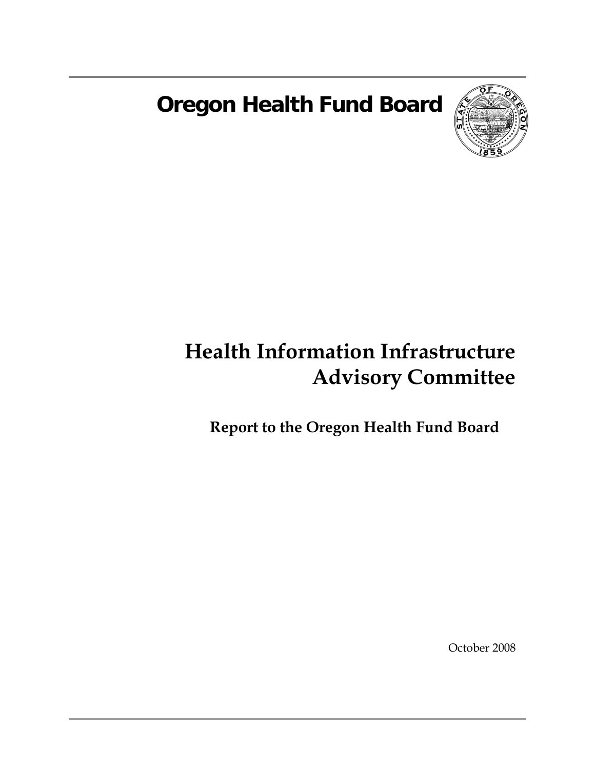**Oregon Health Fund Board** 



# **Health Information Infrastructure Advisory Committee**

 **Report to the Oregon Health Fund Board** 

October 2008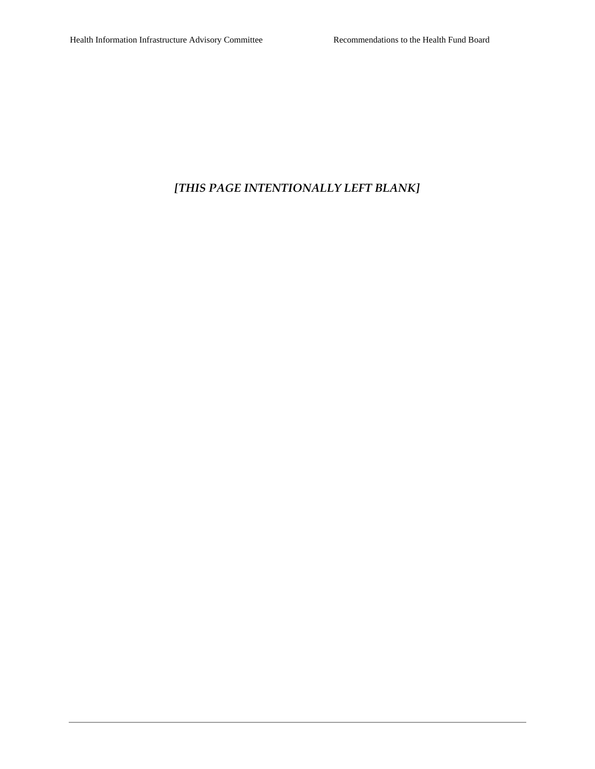# *[THIS PAGE INTENTIONALLY LEFT BLANK]*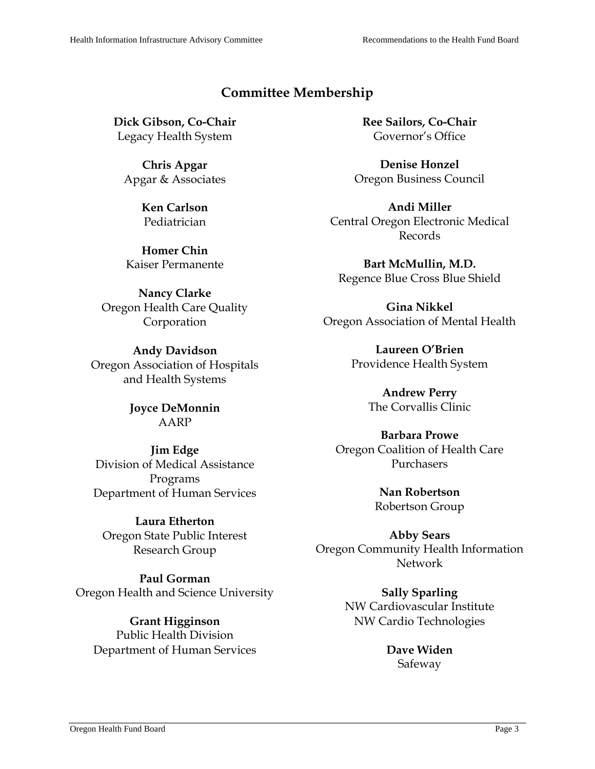### **Committee Membership**

**Dick Gibson, Co-Chair**  Legacy Health System

**Chris Apgar** Apgar & Associates

> **Ken Carlson**  Pediatrician

**Homer Chin** Kaiser Permanente

**Nancy Clarke**  Oregon Health Care Quality Corporation

**Andy Davidson**  Oregon Association of Hospitals and Health Systems

> **Joyce DeMonnin** AARP

**Jim Edge**  Division of Medical Assistance Programs Department of Human Services

**Laura Etherton** Oregon State Public Interest Research Group

**Paul Gorman** Oregon Health and Science University

**Grant Higginson**  Public Health Division Department of Human Services **Ree Sailors, Co-Chair**  Governor's Office

**Denise Honzel** Oregon Business Council

**Andi Miller** Central Oregon Electronic Medical Records

**Bart McMullin, M.D.**  Regence Blue Cross Blue Shield

**Gina Nikkel**  Oregon Association of Mental Health

> **Laureen O'Brien**  Providence Health System

**Andrew Perry** The Corvallis Clinic

**Barbara Prowe** Oregon Coalition of Health Care Purchasers

> **Nan Robertson** Robertson Group

**Abby Sears** Oregon Community Health Information Network

> **Sally Sparling** NW Cardiovascular Institute NW Cardio Technologies

> > **Dave Widen** Safeway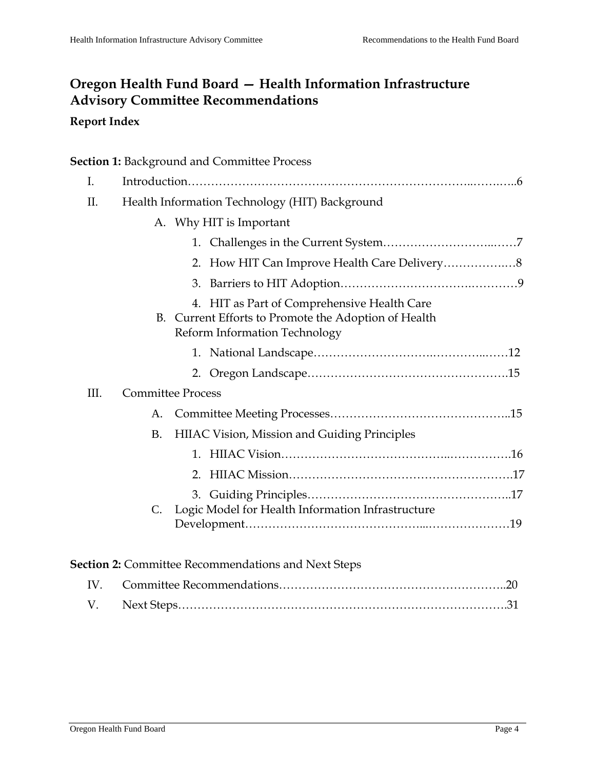# **Oregon Health Fund Board — Health Information Infrastructure Advisory Committee Recommendations**

### **Report Index**

|      | <b>Section 1: Background and Committee Process</b>                                                                                      |
|------|-----------------------------------------------------------------------------------------------------------------------------------------|
| I.   |                                                                                                                                         |
| II.  | Health Information Technology (HIT) Background                                                                                          |
|      | A. Why HIT is Important                                                                                                                 |
|      |                                                                                                                                         |
|      |                                                                                                                                         |
|      | 3.                                                                                                                                      |
|      | 4. HIT as Part of Comprehensive Health Care<br>Current Efforts to Promote the Adoption of Health<br>B.<br>Reform Information Technology |
|      |                                                                                                                                         |
|      |                                                                                                                                         |
| III. | <b>Committee Process</b>                                                                                                                |
|      | A.                                                                                                                                      |
|      | HIIAC Vision, Mission and Guiding Principles<br><b>B.</b>                                                                               |
|      | 1.                                                                                                                                      |
|      | 2.                                                                                                                                      |
|      | Logic Model for Health Information Infrastructure<br>$\mathbf{C}$ .                                                                     |

### **Section 2: Committee Recommendations and Next Steps**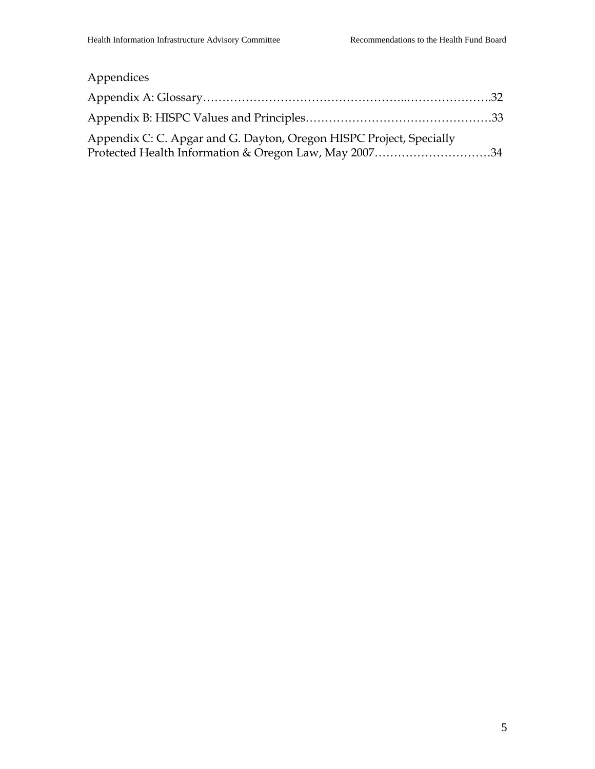| Appendix C: C. Apgar and G. Dayton, Oregon HISPC Project, Specially<br>Protected Health Information & Oregon Law, May 200734 |
|------------------------------------------------------------------------------------------------------------------------------|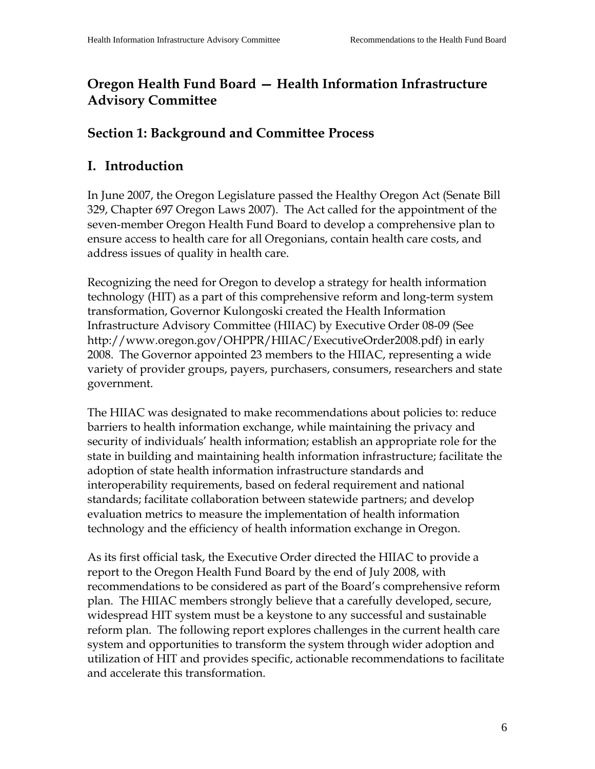# **Oregon Health Fund Board — Health Information Infrastructure Advisory Committee**

### **Section 1: Background and Committee Process**

# **I. Introduction**

In June 2007, the Oregon Legislature passed the Healthy Oregon Act (Senate Bill 329, Chapter 697 Oregon Laws 2007). The Act called for the appointment of the seven-member Oregon Health Fund Board to develop a comprehensive plan to ensure access to health care for all Oregonians, contain health care costs, and address issues of quality in health care.

Recognizing the need for Oregon to develop a strategy for health information technology (HIT) as a part of this comprehensive reform and long-term system transformation, Governor Kulongoski created the Health Information Infrastructure Advisory Committee (HIIAC) by Executive Order 08-09 (See http://www.oregon.gov/OHPPR/HIIAC/ExecutiveOrder2008.pdf) in early 2008. The Governor appointed 23 members to the HIIAC, representing a wide variety of provider groups, payers, purchasers, consumers, researchers and state government.

The HIIAC was designated to make recommendations about policies to: reduce barriers to health information exchange, while maintaining the privacy and security of individuals' health information; establish an appropriate role for the state in building and maintaining health information infrastructure; facilitate the adoption of state health information infrastructure standards and interoperability requirements, based on federal requirement and national standards; facilitate collaboration between statewide partners; and develop evaluation metrics to measure the implementation of health information technology and the efficiency of health information exchange in Oregon.

As its first official task, the Executive Order directed the HIIAC to provide a report to the Oregon Health Fund Board by the end of July 2008, with recommendations to be considered as part of the Board's comprehensive reform plan. The HIIAC members strongly believe that a carefully developed, secure, widespread HIT system must be a keystone to any successful and sustainable reform plan. The following report explores challenges in the current health care system and opportunities to transform the system through wider adoption and utilization of HIT and provides specific, actionable recommendations to facilitate and accelerate this transformation.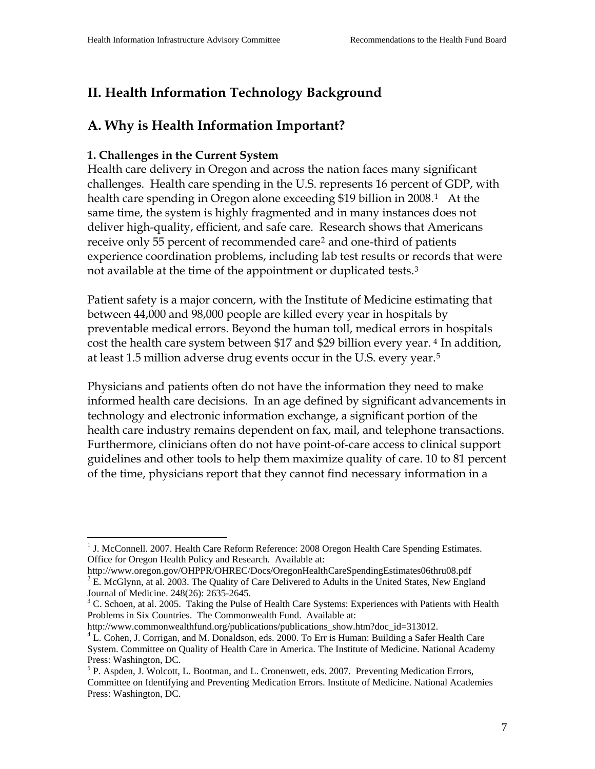# **II. Health Information Technology Background**

### **A. Why is Health Information Important?**

#### **1. Challenges in the Current System**

 $\overline{a}$ 

Health care delivery in Oregon and across the nation faces many significant challenges. Health care spending in the U.S. represents 16 percent of GDP, with health care spending in Oregon alone exceeding \$[1](#page-7-0)9 billion in 2008.<sup>1</sup> At the same time, the system is highly fragmented and in many instances does not deliver high-quality, efficient, and safe care. Research shows that Americans receive only 55 percent of recommended care[2](#page-7-1) and one-third of patients experience coordination problems, including lab test results or records that were not available at the time of the appointment or duplicated tests.<sup>[3](#page-7-2)</sup>

Patient safety is a major concern, with the Institute of Medicine estimating that between 44,000 and 98,000 people are killed every year in hospitals by preventable medical errors. Beyond the human toll, medical errors in hospitals cost the health care system between \$17 and \$29 billion every year. [4](#page-7-3) In addition, at least 1.5 million adverse drug events occur in the U.S. every year.[5](#page-7-4)

Physicians and patients often do not have the information they need to make informed health care decisions. In an age defined by significant advancements in technology and electronic information exchange, a significant portion of the health care industry remains dependent on fax, mail, and telephone transactions. Furthermore, clinicians often do not have point-of-care access to clinical support guidelines and other tools to help them maximize quality of care. 10 to 81 percent of the time, physicians report that they cannot find necessary information in a

<span id="page-7-0"></span><sup>&</sup>lt;sup>1</sup> J. McConnell. 2007. Health Care Reform Reference: 2008 Oregon Health Care Spending Estimates. Office for Oregon Health Policy and Research. Available at:

<span id="page-7-1"></span>http://www.oregon.gov/OHPPR/OHREC/Docs/OregonHealthCareSpendingEstimates06thru08.pdf 2  $<sup>2</sup>$  E. McGlynn, at al. 2003. The Quality of Care Delivered to Adults in the United States, New England</sup> Journal of Medicine. 248(26): 2635-2645.

<span id="page-7-2"></span><sup>&</sup>lt;sup>3</sup> C. Schoen, at al. 2005. Taking the Pulse of Health Care Systems: Experiences with Patients with Health Problems in Six Countries. The Commonwealth Fund. Available at:

<span id="page-7-3"></span>http://www.commonwealthfund.org/publications/publications\_show.htm?doc\_id=313012. <sup>4</sup> L. Cohen, J. Corrigan, and M. Donaldson, eds. 2000. To Err is Human: Building a Safer Health Care System. Committee on Quality of Health Care in America. The Institute of Medicine. National Academy Press: Washington, DC.

<span id="page-7-4"></span><sup>&</sup>lt;sup>5</sup> P. Aspden, J. Wolcott, L. Bootman, and L. Cronenwett, eds. 2007. Preventing Medication Errors, Committee on Identifying and Preventing Medication Errors. Institute of Medicine. National Academies Press: Washington, DC.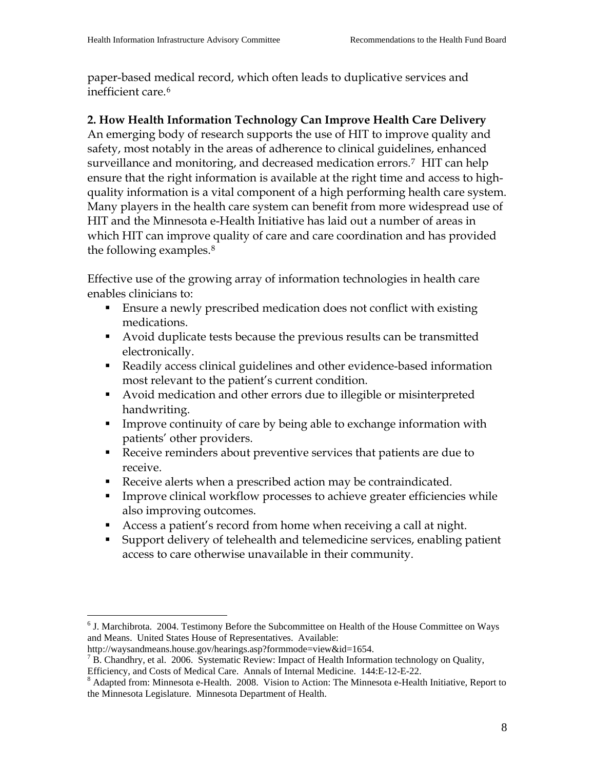paper-based medical record, which often leads to duplicative services and inefficient care.[6](#page-8-0)

#### **2. How Health Information Technology Can Improve Health Care Delivery**

An emerging body of research supports the use of HIT to improve quality and safety, most notably in the areas of adherence to clinical guidelines, enhanced surveillance and monitoring, and decreased medication errors.<sup>[7](#page-8-1)</sup> HIT can help ensure that the right information is available at the right time and access to highquality information is a vital component of a high performing health care system. Many players in the health care system can benefit from more widespread use of HIT and the Minnesota e-Health Initiative has laid out a number of areas in which HIT can improve quality of care and care coordination and has provided the following examples.[8](#page-8-2)

Effective use of the growing array of information technologies in health care enables clinicians to:

- Ensure a newly prescribed medication does not conflict with existing medications.
- Avoid duplicate tests because the previous results can be transmitted electronically.
- Readily access clinical guidelines and other evidence-based information most relevant to the patient's current condition.
- Avoid medication and other errors due to illegible or misinterpreted handwriting.
- **IMPROVE CONTINUITY OF CATE by being able to exchange information with** patients' other providers.
- Receive reminders about preventive services that patients are due to receive.
- Receive alerts when a prescribed action may be contraindicated.
- **Improve clinical workflow processes to achieve greater efficiencies while** also improving outcomes.
- Access a patient's record from home when receiving a call at night.
- Support delivery of telehealth and telemedicine services, enabling patient access to care otherwise unavailable in their community.

 $\overline{a}$ 

<span id="page-8-0"></span><sup>&</sup>lt;sup>6</sup> J. Marchibrota. 2004. Testimony Before the Subcommittee on Health of the House Committee on Ways and Means. United States House of Representatives. Available:

http://waysandmeans.house.gov/hearings.asp?formmode=view&id=1654.

<span id="page-8-1"></span> $\frac{7}{1}$  B. Chandhry, et al. 2006. Systematic Review: Impact of Health Information technology on Quality, Efficiency, and Costs of Medical Care. Annals of Internal Medicine. 144:E-12-E-22.

<span id="page-8-2"></span><sup>&</sup>lt;sup>8</sup> Adapted from: Minnesota e-Health. 2008. Vision to Action: The Minnesota e-Health Initiative, Report to the Minnesota Legislature. Minnesota Department of Health.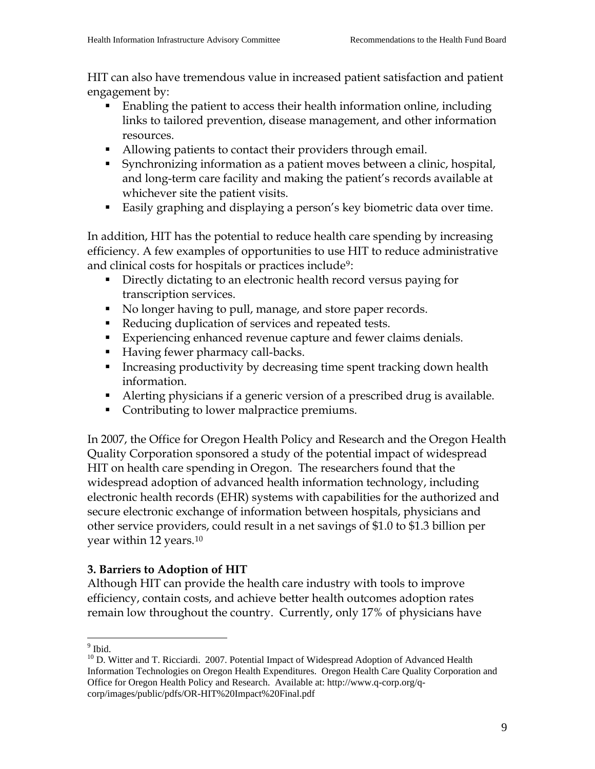HIT can also have tremendous value in increased patient satisfaction and patient engagement by:

- Enabling the patient to access their health information online, including links to tailored prevention, disease management, and other information resources.
- Allowing patients to contact their providers through email.
- Synchronizing information as a patient moves between a clinic, hospital, and long-term care facility and making the patient's records available at whichever site the patient visits.
- Easily graphing and displaying a person's key biometric data over time.

In addition, HIT has the potential to reduce health care spending by increasing efficiency. A few examples of opportunities to use HIT to reduce administrative and clinical costs for hospitals or practices include<sup>[9](#page-9-0)</sup>:

- Directly dictating to an electronic health record versus paying for transcription services.
- No longer having to pull, manage, and store paper records.
- Reducing duplication of services and repeated tests.
- Experiencing enhanced revenue capture and fewer claims denials.
- Having fewer pharmacy call-backs.
- **Increasing productivity by decreasing time spent tracking down health** information.
- Alerting physicians if a generic version of a prescribed drug is available.
- Contributing to lower malpractice premiums.

In 2007, the Office for Oregon Health Policy and Research and the Oregon Health Quality Corporation sponsored a study of the potential impact of widespread HIT on health care spending in Oregon. The researchers found that the widespread adoption of advanced health information technology, including electronic health records (EHR) systems with capabilities for the authorized and secure electronic exchange of information between hospitals, physicians and other service providers, could result in a net savings of \$1.0 to \$1.3 billion per year within 12 years.<sup>[10](#page-9-1)</sup>

### **3. Barriers to Adoption of HIT**

Although HIT can provide the health care industry with tools to improve efficiency, contain costs, and achieve better health outcomes adoption rates remain low throughout the country. Currently, only 17% of physicians have

 $\overline{a}$ <sup>9</sup> Ibid.

<span id="page-9-1"></span><span id="page-9-0"></span><sup>&</sup>lt;sup>10</sup> D. Witter and T. Ricciardi. 2007. Potential Impact of Widespread Adoption of Advanced Health Information Technologies on Oregon Health Expenditures. Oregon Health Care Quality Corporation and Office for Oregon Health Policy and Research. Available at: http://www.q-corp.org/qcorp/images/public/pdfs/OR-HIT%20Impact%20Final.pdf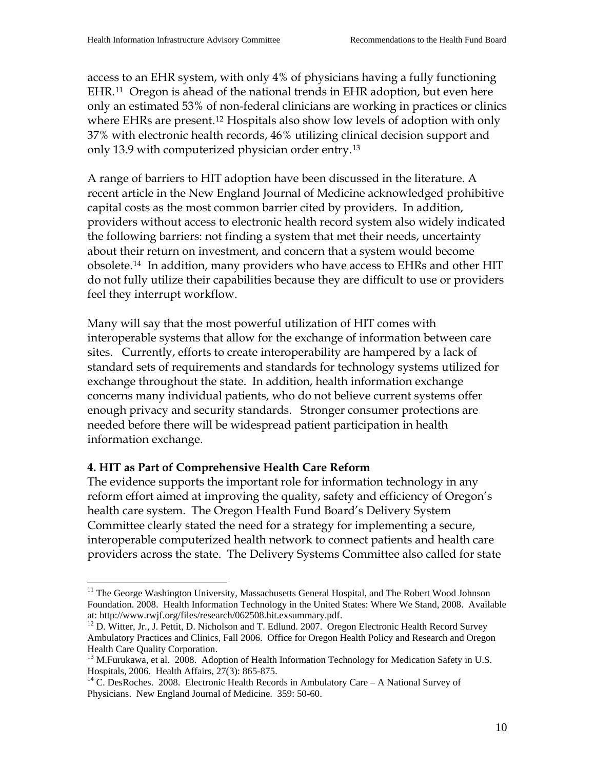access to an EHR system, with only 4% of physicians having a fully functioning EHR.<sup>[11](#page-10-0)</sup> Oregon is ahead of the national trends in EHR adoption, but even here only an estimated 53% of non-federal clinicians are working in practices or clinics where EHRs are present.<sup>[12](#page-10-1)</sup> Hospitals also show low levels of adoption with only 37% with electronic health records, 46% utilizing clinical decision support and only 13.9 with computerized physician order entry.[13](#page-10-2)

A range of barriers to HIT adoption have been discussed in the literature. A recent article in the New England Journal of Medicine acknowledged prohibitive capital costs as the most common barrier cited by providers. In addition, providers without access to electronic health record system also widely indicated the following barriers: not finding a system that met their needs, uncertainty about their return on investment, and concern that a system would become obsolete.[14](#page-10-3) In addition, many providers who have access to EHRs and other HIT do not fully utilize their capabilities because they are difficult to use or providers feel they interrupt workflow.

Many will say that the most powerful utilization of HIT comes with interoperable systems that allow for the exchange of information between care sites. Currently, efforts to create interoperability are hampered by a lack of standard sets of requirements and standards for technology systems utilized for exchange throughout the state. In addition, health information exchange concerns many individual patients, who do not believe current systems offer enough privacy and security standards. Stronger consumer protections are needed before there will be widespread patient participation in health information exchange.

#### **4. HIT as Part of Comprehensive Health Care Reform**

 $\overline{a}$ 

The evidence supports the important role for information technology in any reform effort aimed at improving the quality, safety and efficiency of Oregon's health care system. The Oregon Health Fund Board's Delivery System Committee clearly stated the need for a strategy for implementing a secure, interoperable computerized health network to connect patients and health care providers across the state. The Delivery Systems Committee also called for state

<span id="page-10-0"></span><sup>&</sup>lt;sup>11</sup> The George Washington University, Massachusetts General Hospital, and The Robert Wood Johnson Foundation. 2008. Health Information Technology in the United States: Where We Stand, 2008. Available at: http://www.rwjf.org/files/research/062508.hit.exsummary.pdf.<br><sup>12</sup> D. Witter, Jr., J. Pettit, D. Nicholson and T. Edlund. 2007. Oregon Electronic Health Record Survey

<span id="page-10-1"></span>Ambulatory Practices and Clinics, Fall 2006. Office for Oregon Health Policy and Research and Oregon Health Care Quality Corporation.

<span id="page-10-2"></span><sup>&</sup>lt;sup>13</sup> M.Furukawa, et al. 2008. Adoption of Health Information Technology for Medication Safety in U.S. Hospitals, 2006. Health Affairs, 27(3): 865-875.

<span id="page-10-3"></span><sup>&</sup>lt;sup>14</sup> C. DesRoches. 2008. Electronic Health Records in Ambulatory Care – A National Survey of Physicians. New England Journal of Medicine. 359: 50-60.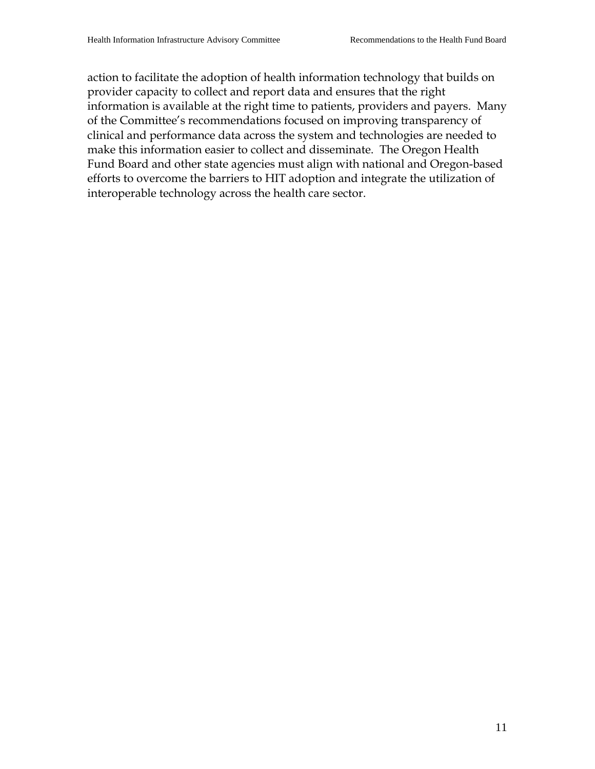action to facilitate the adoption of health information technology that builds on provider capacity to collect and report data and ensures that the right information is available at the right time to patients, providers and payers. Many of the Committee's recommendations focused on improving transparency of clinical and performance data across the system and technologies are needed to make this information easier to collect and disseminate. The Oregon Health Fund Board and other state agencies must align with national and Oregon-based efforts to overcome the barriers to HIT adoption and integrate the utilization of interoperable technology across the health care sector.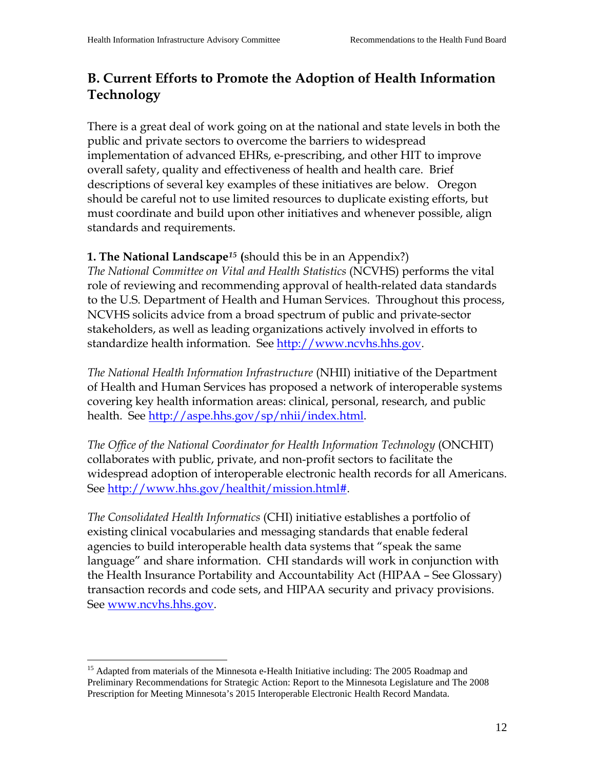# **B. Current Efforts to Promote the Adoption of Health Information Technology**

There is a great deal of work going on at the national and state levels in both the public and private sectors to overcome the barriers to widespread implementation of advanced EHRs, e-prescribing, and other HIT to improve overall safety, quality and effectiveness of health and health care. Brief descriptions of several key examples of these initiatives are below. Oregon should be careful not to use limited resources to duplicate existing efforts, but must coordinate and build upon other initiatives and whenever possible, align standards and requirements.

#### **1. The National Landscape***[15](#page-12-0)* **(**should this be in an Appendix?)

*The National Committee on Vital and Health Statistics* (NCVHS) performs the vital role of reviewing and recommending approval of health-related data standards to the U.S. Department of Health and Human Services. Throughout this process, NCVHS solicits advice from a broad spectrum of public and private-sector stakeholders, as well as leading organizations actively involved in efforts to standardize health information. See [http://www.ncvhs.hhs.gov.](http://www.ncvhs.hhs.gov/)

*The National Health Information Infrastructure* (NHII) initiative of the Department of Health and Human Services has proposed a network of interoperable systems covering key health information areas: clinical, personal, research, and public health. See <http://aspe.hhs.gov/sp/nhii/index.html>.

*The Office of the National Coordinator for Health Information Technology* (ONCHIT) collaborates with public, private, and non-profit sectors to facilitate the widespread adoption of interoperable electronic health records for all Americans. See [http://www.hhs.gov/healthit/mission.html#](http://www.hhs.gov/healthit/mission.html).

*The Consolidated Health Informatics* (CHI) initiative establishes a portfolio of existing clinical vocabularies and messaging standards that enable federal agencies to build interoperable health data systems that "speak the same language" and share information. CHI standards will work in conjunction with the Health Insurance Portability and Accountability Act (HIPAA – See Glossary) transaction records and code sets, and HIPAA security and privacy provisions. See [www.ncvhs.hhs.gov](http://www.ncvhs.hhs.gov/).

 $\overline{a}$ 

<span id="page-12-0"></span><sup>&</sup>lt;sup>15</sup> Adapted from materials of the Minnesota e-Health Initiative including: The 2005 Roadmap and Preliminary Recommendations for Strategic Action: Report to the Minnesota Legislature and The 2008 Prescription for Meeting Minnesota's 2015 Interoperable Electronic Health Record Mandata.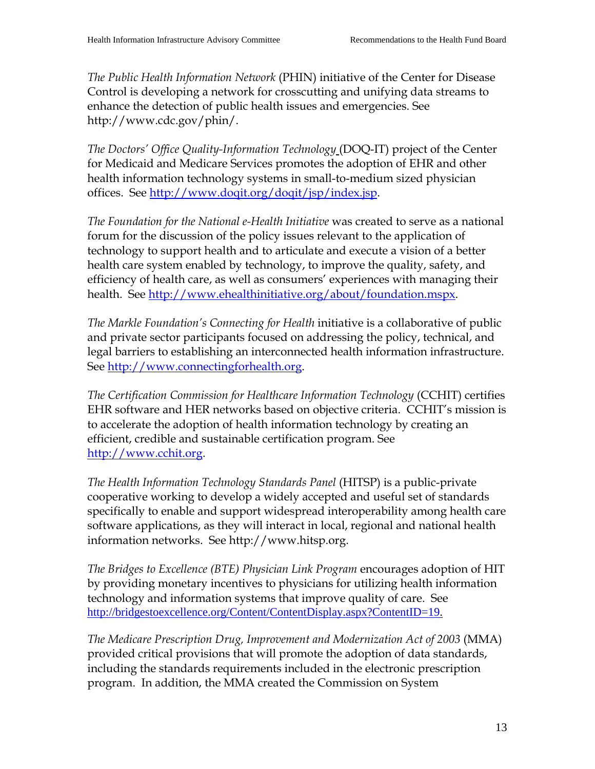*The Public Health Information Network* (PHIN) initiative of the Center for Disease Control is developing a network for crosscutting and unifying data streams to enhance the detection of public health issues and emergencies. See http://www.cdc.gov/phin/.

*The Doctors' Office Quality-Information Technology* (DOQ-IT) project of the Center for Medicaid and Medicare Services promotes the adoption of EHR and other health information technology systems in small-to-medium sized physician offices. See <http://www.doqit.org/doqit/jsp/index.jsp>.

*The Foundation for the National e-Health Initiative* was created to serve as a national forum for the discussion of the policy issues relevant to the application of technology to support health and to articulate and execute a vision of a better health care system enabled by technology, to improve the quality, safety, and efficiency of health care, as well as consumers' experiences with managing their health. See [http://www.ehealthinitiative.org/about/foundation.mspx.](http://www.ehealthinitiative.org/about/foundation.mspx)

*The Markle Foundation's Connecting for Health* initiative is a collaborative of public and private sector participants focused on addressing the policy, technical, and legal barriers to establishing an interconnected health information infrastructure. See [http://www.connectingforhealth.org.](http://www.connectingforhealth.org/)

*The Certification Commission for Healthcare Information Technology* (CCHIT) certifies EHR software and HER networks based on objective criteria. CCHIT's mission is to accelerate the adoption of health information technology by creating an efficient, credible and sustainable certification program. See [http://www.cchit.org.](http://www.cchit.org/)

*The Health Information Technology Standards Panel* (HITSP) is a public-private cooperative working to develop a widely accepted and useful set of standards specifically to enable and support widespread interoperability among health care software applications, as they will interact in local, regional and national health information networks. See http://www.hitsp.org.

*The Bridges to Excellence (BTE) Physician Link Program* encourages adoption of HIT by providing monetary incentives to physicians for utilizing health information technology and information systems that improve quality of care. See [http://bridgestoexcellence.org/Content/ContentDisplay.aspx?ContentID=19.](http://bridgestoexcellence.org/Content/ContentDisplay.aspx?ContentID=19)

*The Medicare Prescription Drug, Improvement and Modernization Act of 2003* (MMA) provided critical provisions that will promote the adoption of data standards, including the standards requirements included in the electronic prescription program. In addition, the MMA created the Commission on System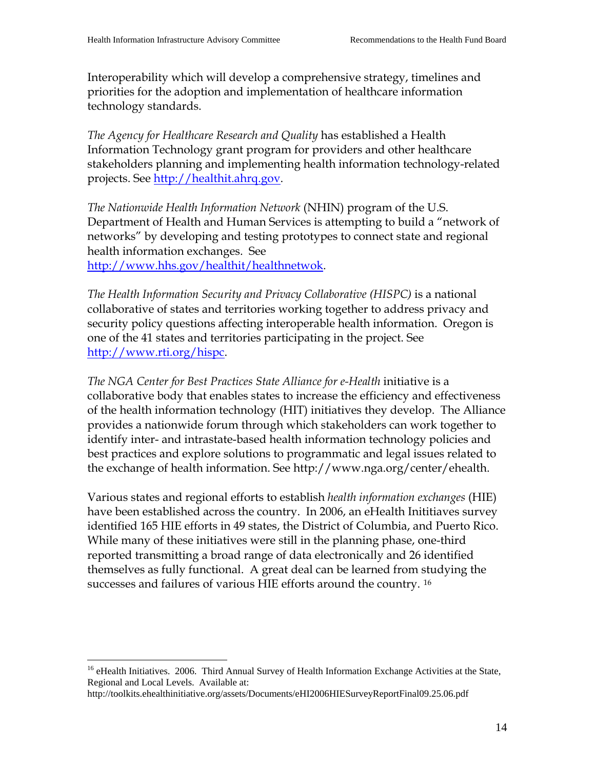Interoperability which will develop a comprehensive strategy, timelines and priorities for the adoption and implementation of healthcare information technology standards.

*The Agency for Healthcare Research and Quality* has established a Health Information Technology grant program for providers and other healthcare stakeholders planning and implementing health information technology-related projects. See [http://healthit.ahrq.gov.](http://healthit.ahrq.gov/)

*The Nationwide Health Information Network* (NHIN) program of the U.S. Department of Health and Human Services is attempting to build a "network of networks" by developing and testing prototypes to connect state and regional health information exchanges. See [http://www.hhs.gov/healthit/healthnetwok.](http://www.hhs.gov/healthit/healthnetwok)

*The Health Information Security and Privacy Collaborative (HISPC)* is a national collaborative of states and territories working together to address privacy and security policy questions affecting interoperable health information. Oregon is one of the 41 states and territories participating in the project. See <http://www.rti.org/hispc>.

*The NGA Center for Best Practices State Alliance for e-Health* initiative is a collaborative body that enables states to increase the efficiency and effectiveness of the health information technology (HIT) initiatives they develop. The Alliance provides a nationwide forum through which stakeholders can work together to identify inter- and intrastate-based health information technology policies and best practices and explore solutions to programmatic and legal issues related to the exchange of health information. See http://www.nga.org/center/ehealth.

Various states and regional efforts to establish *health information exchanges* (HIE) have been established across the country. In 2006, an eHealth Inititiaves survey identified 165 HIE efforts in 49 states, the District of Columbia, and Puerto Rico. While many of these initiatives were still in the planning phase, one-third reported transmitting a broad range of data electronically and 26 identified themselves as fully functional. A great deal can be learned from studying the successes and failures of various HIE efforts around the country. [16](#page-14-0)

 $\overline{a}$ 

<span id="page-14-0"></span><sup>&</sup>lt;sup>16</sup> eHealth Initiatives. 2006. Third Annual Survey of Health Information Exchange Activities at the State, Regional and Local Levels. Available at:

http://toolkits.ehealthinitiative.org/assets/Documents/eHI2006HIESurveyReportFinal09.25.06.pdf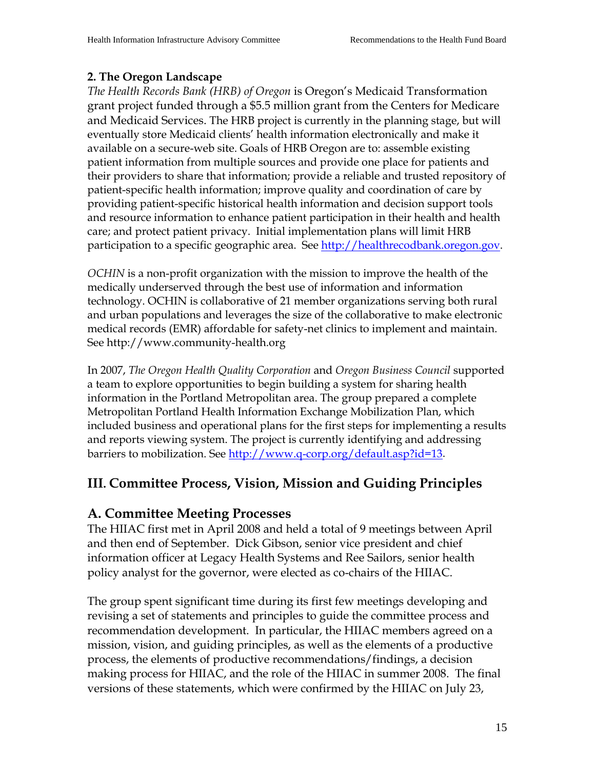#### **2. The Oregon Landscape**

*The Health Records Bank (HRB) of Oregon* is Oregon's Medicaid Transformation grant project funded through a \$5.5 million grant from the Centers for Medicare and Medicaid Services. The HRB project is currently in the planning stage, but will eventually store Medicaid clients' health information electronically and make it available on a secure-web site. Goals of HRB Oregon are to: assemble existing patient information from multiple sources and provide one place for patients and their providers to share that information; provide a reliable and trusted repository of patient-specific health information; improve quality and coordination of care by providing patient-specific historical health information and decision support tools and resource information to enhance patient participation in their health and health care; and protect patient privacy. Initial implementation plans will limit HRB participation to a specific geographic area. See [http://healthrecodbank.oregon.gov.](http://healthrecodbank.oregon.gov/)

*OCHIN* is a non-profit organization with the mission to improve the health of the medically underserved through the best use of information and information technology. OCHIN is collaborative of 21 member organizations serving both rural and urban populations and leverages the size of the collaborative to make electronic medical records (EMR) affordable for safety-net clinics to implement and maintain. See http://www.community-health.org

In 2007, *The Oregon Health Quality Corporation* and *Oregon Business Council* supported a team to explore opportunities to begin building a system for sharing health information in the Portland Metropolitan area. The group prepared a complete Metropolitan Portland Health Information Exchange Mobilization Plan, which included business and operational plans for the first steps for implementing a results and reports viewing system. The project is currently identifying and addressing barriers to mobilization. See [http://www.q-corp.org/default.asp?id=13.](http://www.q-corp.org/default.asp?id=13)

# **III. Committee Process, Vision, Mission and Guiding Principles**

### **A. Committee Meeting Processes**

The HIIAC first met in April 2008 and held a total of 9 meetings between April and then end of September. Dick Gibson, senior vice president and chief information officer at Legacy Health Systems and Ree Sailors, senior health policy analyst for the governor, were elected as co-chairs of the HIIAC.

The group spent significant time during its first few meetings developing and revising a set of statements and principles to guide the committee process and recommendation development. In particular, the HIIAC members agreed on a mission, vision, and guiding principles, as well as the elements of a productive process, the elements of productive recommendations/findings, a decision making process for HIIAC, and the role of the HIIAC in summer 2008. The final versions of these statements, which were confirmed by the HIIAC on July 23,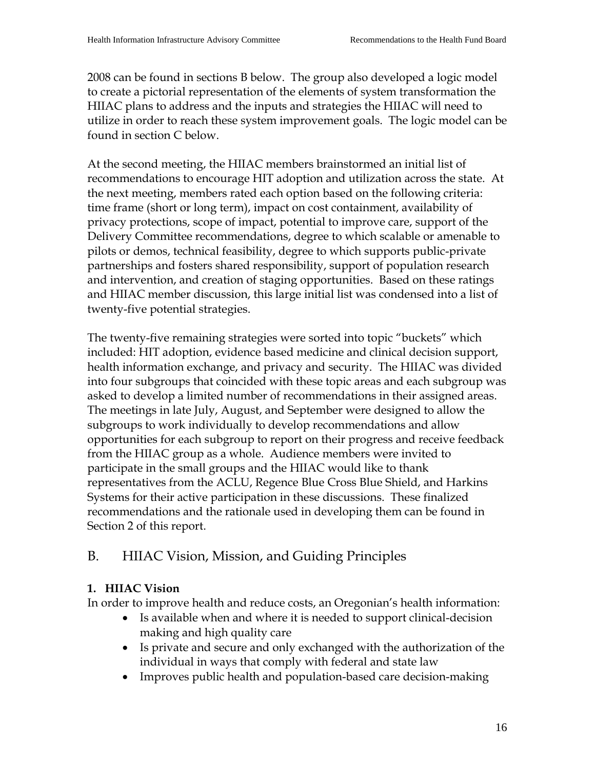2008 can be found in sections B below. The group also developed a logic model to create a pictorial representation of the elements of system transformation the HIIAC plans to address and the inputs and strategies the HIIAC will need to utilize in order to reach these system improvement goals. The logic model can be found in section C below.

At the second meeting, the HIIAC members brainstormed an initial list of recommendations to encourage HIT adoption and utilization across the state. At the next meeting, members rated each option based on the following criteria: time frame (short or long term), impact on cost containment, availability of privacy protections, scope of impact, potential to improve care, support of the Delivery Committee recommendations, degree to which scalable or amenable to pilots or demos, technical feasibility, degree to which supports public-private partnerships and fosters shared responsibility, support of population research and intervention, and creation of staging opportunities. Based on these ratings and HIIAC member discussion, this large initial list was condensed into a list of twenty-five potential strategies.

The twenty-five remaining strategies were sorted into topic "buckets" which included: HIT adoption, evidence based medicine and clinical decision support, health information exchange, and privacy and security. The HIIAC was divided into four subgroups that coincided with these topic areas and each subgroup was asked to develop a limited number of recommendations in their assigned areas. The meetings in late July, August, and September were designed to allow the subgroups to work individually to develop recommendations and allow opportunities for each subgroup to report on their progress and receive feedback from the HIIAC group as a whole. Audience members were invited to participate in the small groups and the HIIAC would like to thank representatives from the ACLU, Regence Blue Cross Blue Shield, and Harkins Systems for their active participation in these discussions. These finalized recommendations and the rationale used in developing them can be found in Section 2 of this report.

# B. HIIAC Vision, Mission, and Guiding Principles

### **1. HIIAC Vision**

In order to improve health and reduce costs, an Oregonian's health information:

- Is available when and where it is needed to support clinical-decision making and high quality care
- Is private and secure and only exchanged with the authorization of the individual in ways that comply with federal and state law
- Improves public health and population-based care decision-making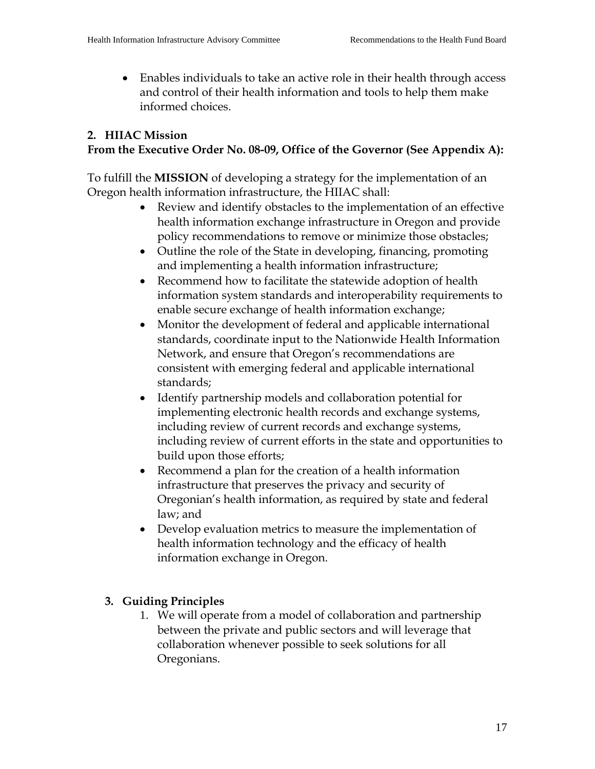• Enables individuals to take an active role in their health through access and control of their health information and tools to help them make informed choices.

### **2. HIIAC Mission**

### **From the Executive Order No. 08-09, Office of the Governor (See Appendix A):**

To fulfill the **MISSION** of developing a strategy for the implementation of an Oregon health information infrastructure, the HIIAC shall:

- Review and identify obstacles to the implementation of an effective health information exchange infrastructure in Oregon and provide policy recommendations to remove or minimize those obstacles;
- Outline the role of the State in developing, financing, promoting and implementing a health information infrastructure;
- Recommend how to facilitate the statewide adoption of health information system standards and interoperability requirements to enable secure exchange of health information exchange;
- Monitor the development of federal and applicable international standards, coordinate input to the Nationwide Health Information Network, and ensure that Oregon's recommendations are consistent with emerging federal and applicable international standards;
- Identify partnership models and collaboration potential for implementing electronic health records and exchange systems, including review of current records and exchange systems, including review of current efforts in the state and opportunities to build upon those efforts;
- Recommend a plan for the creation of a health information infrastructure that preserves the privacy and security of Oregonian's health information, as required by state and federal law; and
- Develop evaluation metrics to measure the implementation of health information technology and the efficacy of health information exchange in Oregon.

#### **3. Guiding Principles**

1. We will operate from a model of collaboration and partnership between the private and public sectors and will leverage that collaboration whenever possible to seek solutions for all Oregonians.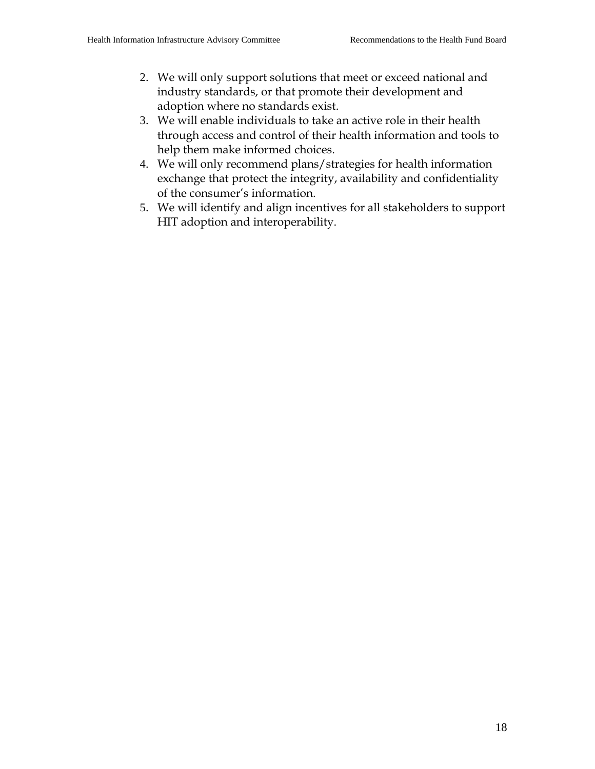- 2. We will only support solutions that meet or exceed national and industry standards, or that promote their development and adoption where no standards exist.
- 3. We will enable individuals to take an active role in their health through access and control of their health information and tools to help them make informed choices.
- 4. We will only recommend plans/strategies for health information exchange that protect the integrity, availability and confidentiality of the consumer's information.
- 5. We will identify and align incentives for all stakeholders to support HIT adoption and interoperability.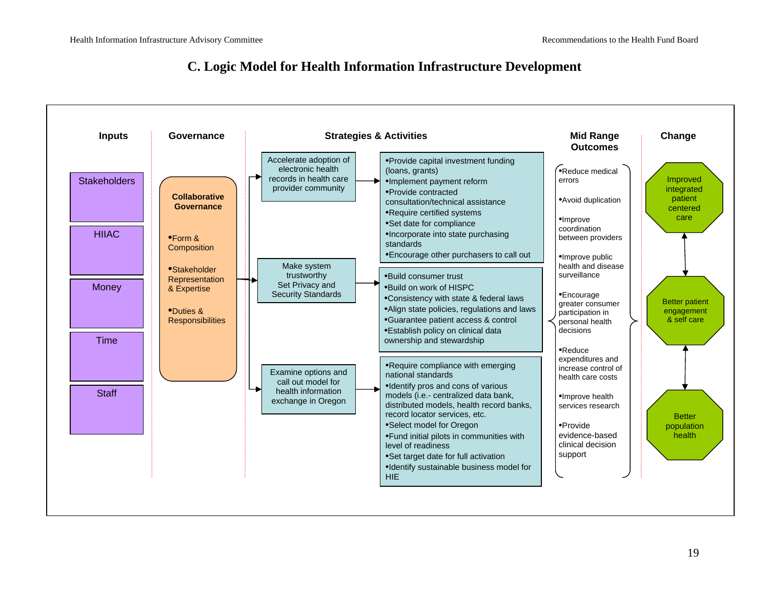### **C. Logic Model for Health Information Infrastructure Development**

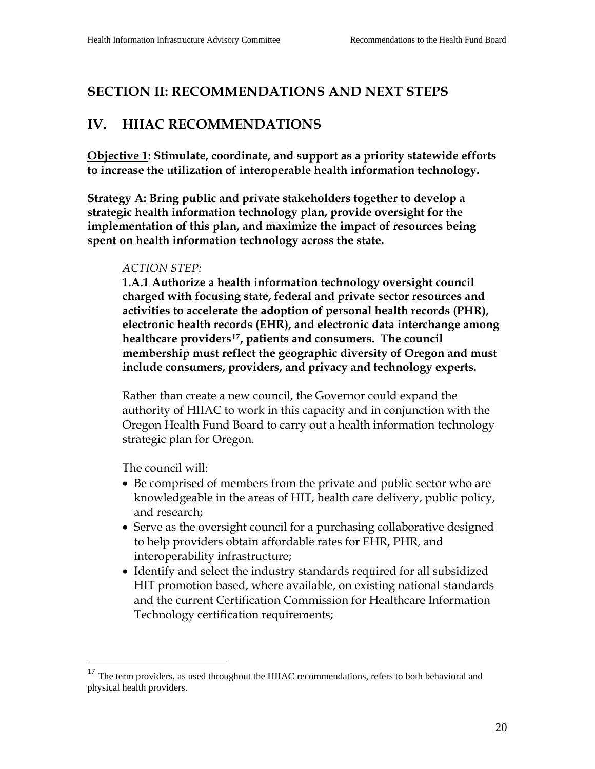# <span id="page-20-0"></span>**SECTION II: RECOMMENDATIONS AND NEXT STEPS**

# **IV. HIIAC RECOMMENDATIONS**

**Objective 1: Stimulate, coordinate, and support as a priority statewide efforts to increase the utilization of interoperable health information technology.** 

**Strategy A: Bring public and private stakeholders together to develop a strategic health information technology plan, provide oversight for the implementation of this plan, and maximize the impact of resources being spent on health information technology across the state.** 

#### *ACTION STEP:*

**1.A.1 Authorize a health information technology oversight council charged with focusing state, federal and private sector resources and activities to accelerate the adoption of personal health records (PHR), electronic health records (EHR), and electronic data interchange among healthcare providers[17](#page-20-0), patients and consumers. The council membership must reflect the geographic diversity of Oregon and must include consumers, providers, and privacy and technology experts.**

Rather than create a new council, the Governor could expand the authority of HIIAC to work in this capacity and in conjunction with the Oregon Health Fund Board to carry out a health information technology strategic plan for Oregon.

The council will:

1

- Be comprised of members from the private and public sector who are knowledgeable in the areas of HIT, health care delivery, public policy, and research;
- Serve as the oversight council for a purchasing collaborative designed to help providers obtain affordable rates for EHR, PHR, and interoperability infrastructure;
- Identify and select the industry standards required for all subsidized HIT promotion based, where available, on existing national standards and the current Certification Commission for Healthcare Information Technology certification requirements;

<sup>&</sup>lt;sup>17</sup> The term providers, as used throughout the HIIAC recommendations, refers to both behavioral and physical health providers.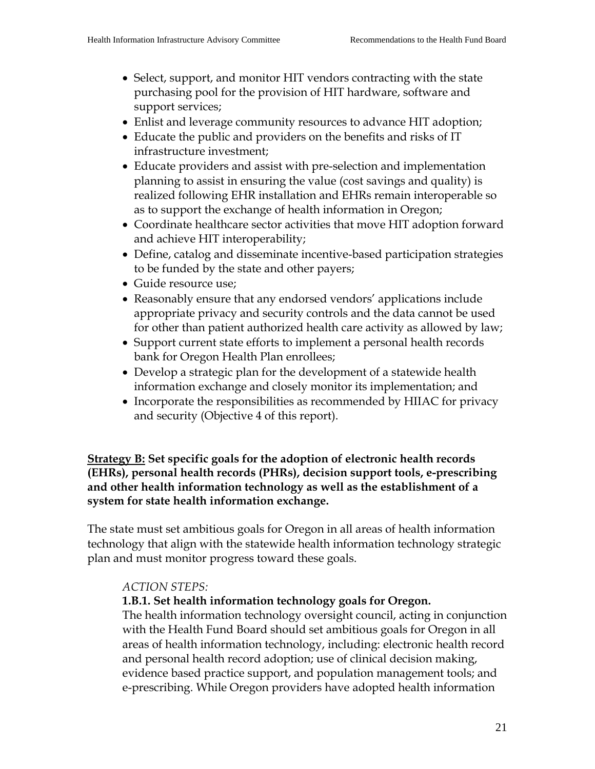- Select, support, and monitor HIT vendors contracting with the state purchasing pool for the provision of HIT hardware, software and support services;
- Enlist and leverage community resources to advance HIT adoption;
- Educate the public and providers on the benefits and risks of IT infrastructure investment;
- Educate providers and assist with pre-selection and implementation planning to assist in ensuring the value (cost savings and quality) is realized following EHR installation and EHRs remain interoperable so as to support the exchange of health information in Oregon;
- Coordinate healthcare sector activities that move HIT adoption forward and achieve HIT interoperability;
- Define, catalog and disseminate incentive-based participation strategies to be funded by the state and other payers;
- Guide resource use;
- Reasonably ensure that any endorsed vendors' applications include appropriate privacy and security controls and the data cannot be used for other than patient authorized health care activity as allowed by law;
- Support current state efforts to implement a personal health records bank for Oregon Health Plan enrollees;
- Develop a strategic plan for the development of a statewide health information exchange and closely monitor its implementation; and
- Incorporate the responsibilities as recommended by HIIAC for privacy and security (Objective 4 of this report).

**Strategy B: Set specific goals for the adoption of electronic health records (EHRs), personal health records (PHRs), decision support tools, e-prescribing and other health information technology as well as the establishment of a system for state health information exchange.** 

The state must set ambitious goals for Oregon in all areas of health information technology that align with the statewide health information technology strategic plan and must monitor progress toward these goals.

#### *ACTION STEPS:*

### **1.B.1. Set health information technology goals for Oregon.**

The health information technology oversight council, acting in conjunction with the Health Fund Board should set ambitious goals for Oregon in all areas of health information technology, including: electronic health record and personal health record adoption; use of clinical decision making, evidence based practice support, and population management tools; and e-prescribing. While Oregon providers have adopted health information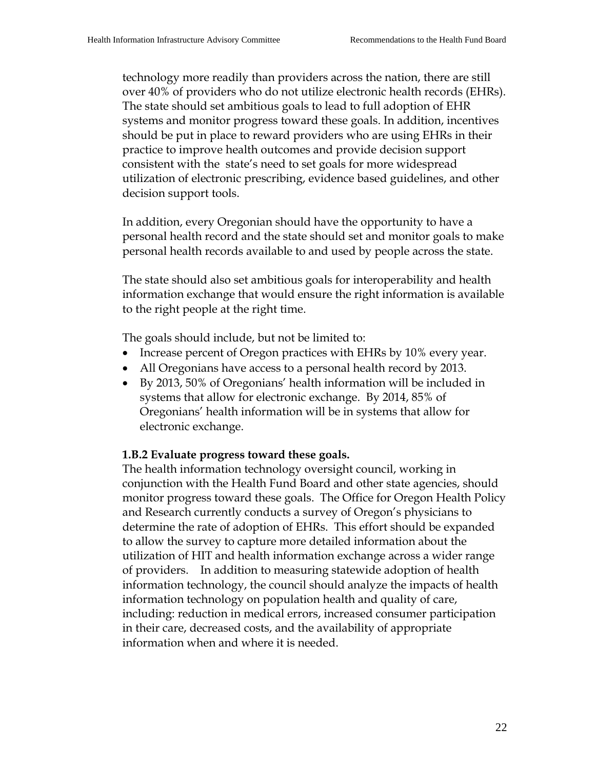technology more readily than providers across the nation, there are still over 40% of providers who do not utilize electronic health records (EHRs). The state should set ambitious goals to lead to full adoption of EHR systems and monitor progress toward these goals. In addition, incentives should be put in place to reward providers who are using EHRs in their practice to improve health outcomes and provide decision support consistent with the state's need to set goals for more widespread utilization of electronic prescribing, evidence based guidelines, and other decision support tools.

In addition, every Oregonian should have the opportunity to have a personal health record and the state should set and monitor goals to make personal health records available to and used by people across the state.

The state should also set ambitious goals for interoperability and health information exchange that would ensure the right information is available to the right people at the right time.

The goals should include, but not be limited to:

- Increase percent of Oregon practices with EHRs by 10% every year.
- All Oregonians have access to a personal health record by 2013.
- By 2013, 50% of Oregonians' health information will be included in systems that allow for electronic exchange. By 2014, 85% of Oregonians' health information will be in systems that allow for electronic exchange.

#### **1.B.2 Evaluate progress toward these goals.**

The health information technology oversight council, working in conjunction with the Health Fund Board and other state agencies, should monitor progress toward these goals. The Office for Oregon Health Policy and Research currently conducts a survey of Oregon's physicians to determine the rate of adoption of EHRs. This effort should be expanded to allow the survey to capture more detailed information about the utilization of HIT and health information exchange across a wider range of providers. In addition to measuring statewide adoption of health information technology, the council should analyze the impacts of health information technology on population health and quality of care, including: reduction in medical errors, increased consumer participation in their care, decreased costs, and the availability of appropriate information when and where it is needed.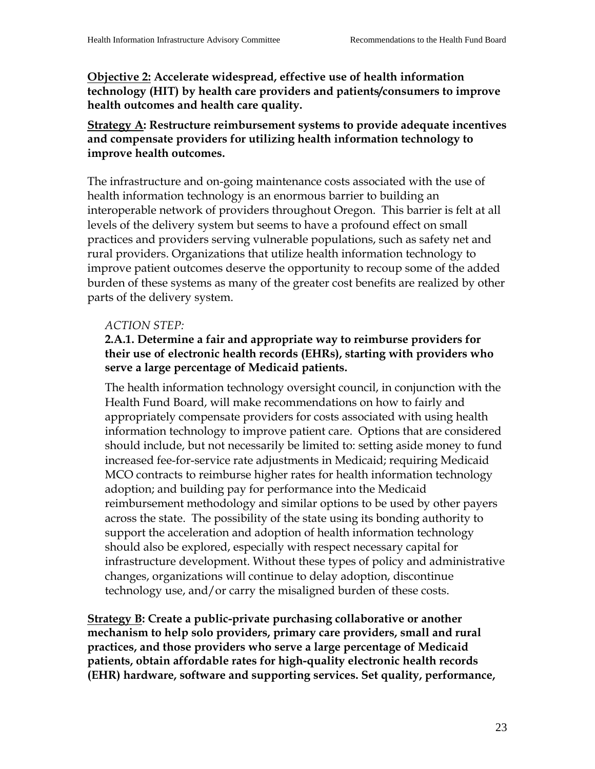**Objective 2: Accelerate widespread, effective use of health information technology (HIT) by health care providers and patients/consumers to improve health outcomes and health care quality.** 

#### **Strategy A: Restructure reimbursement systems to provide adequate incentives and compensate providers for utilizing health information technology to improve health outcomes.**

The infrastructure and on-going maintenance costs associated with the use of health information technology is an enormous barrier to building an interoperable network of providers throughout Oregon. This barrier is felt at all levels of the delivery system but seems to have a profound effect on small practices and providers serving vulnerable populations, such as safety net and rural providers. Organizations that utilize health information technology to improve patient outcomes deserve the opportunity to recoup some of the added burden of these systems as many of the greater cost benefits are realized by other parts of the delivery system.

#### *ACTION STEP:*

#### **2.A.1. Determine a fair and appropriate way to reimburse providers for their use of electronic health records (EHRs), starting with providers who serve a large percentage of Medicaid patients.**

The health information technology oversight council, in conjunction with the Health Fund Board, will make recommendations on how to fairly and appropriately compensate providers for costs associated with using health information technology to improve patient care. Options that are considered should include, but not necessarily be limited to: setting aside money to fund increased fee-for-service rate adjustments in Medicaid; requiring Medicaid MCO contracts to reimburse higher rates for health information technology adoption; and building pay for performance into the Medicaid reimbursement methodology and similar options to be used by other payers across the state. The possibility of the state using its bonding authority to support the acceleration and adoption of health information technology should also be explored, especially with respect necessary capital for infrastructure development. Without these types of policy and administrative changes, organizations will continue to delay adoption, discontinue technology use, and/or carry the misaligned burden of these costs.

**Strategy B: Create a public-private purchasing collaborative or another mechanism to help solo providers, primary care providers, small and rural practices, and those providers who serve a large percentage of Medicaid patients, obtain affordable rates for high-quality electronic health records (EHR) hardware, software and supporting services. Set quality, performance,**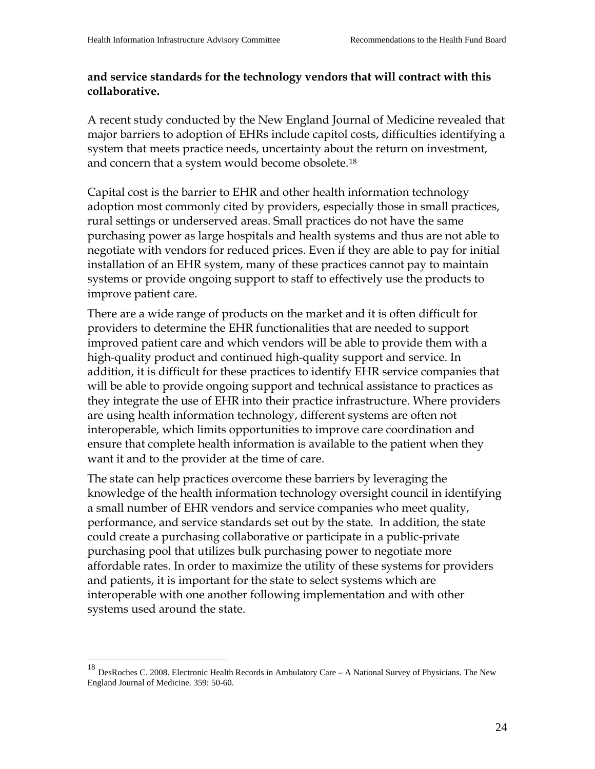#### <span id="page-24-0"></span>**and service standards for the technology vendors that will contract with this collaborative.**

A recent study conducted by the New England Journal of Medicine revealed that major barriers to adoption of EHRs include capitol costs, difficulties identifying a system that meets practice needs, uncertainty about the return on investment, and concern that a system would become obsolete.[18](#page-24-0)

Capital cost is the barrier to EHR and other health information technology adoption most commonly cited by providers, especially those in small practices, rural settings or underserved areas. Small practices do not have the same purchasing power as large hospitals and health systems and thus are not able to negotiate with vendors for reduced prices. Even if they are able to pay for initial installation of an EHR system, many of these practices cannot pay to maintain systems or provide ongoing support to staff to effectively use the products to improve patient care.

There are a wide range of products on the market and it is often difficult for providers to determine the EHR functionalities that are needed to support improved patient care and which vendors will be able to provide them with a high-quality product and continued high-quality support and service. In addition, it is difficult for these practices to identify EHR service companies that will be able to provide ongoing support and technical assistance to practices as they integrate the use of EHR into their practice infrastructure. Where providers are using health information technology, different systems are often not interoperable, which limits opportunities to improve care coordination and ensure that complete health information is available to the patient when they want it and to the provider at the time of care.

The state can help practices overcome these barriers by leveraging the knowledge of the health information technology oversight council in identifying a small number of EHR vendors and service companies who meet quality, performance, and service standards set out by the state. In addition, the state could create a purchasing collaborative or participate in a public-private purchasing pool that utilizes bulk purchasing power to negotiate more affordable rates. In order to maximize the utility of these systems for providers and patients, it is important for the state to select systems which are interoperable with one another following implementation and with other systems used around the state.

 $\overline{a}$ 

<sup>&</sup>lt;sup>18</sup> DesRoches C. 2008. Electronic Health Records in Ambulatory Care – A National Survey of Physicians. The New England Journal of Medicine. 359: 50-60.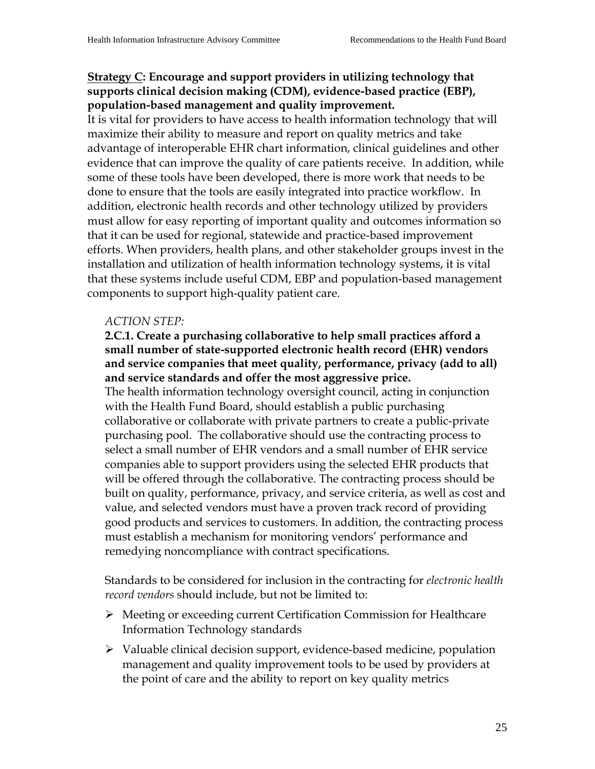#### **Strategy C: Encourage and support providers in utilizing technology that supports clinical decision making (CDM), evidence-based practice (EBP), population-based management and quality improvement.**

It is vital for providers to have access to health information technology that will maximize their ability to measure and report on quality metrics and take advantage of interoperable EHR chart information, clinical guidelines and other evidence that can improve the quality of care patients receive. In addition, while some of these tools have been developed, there is more work that needs to be done to ensure that the tools are easily integrated into practice workflow. In addition, electronic health records and other technology utilized by providers must allow for easy reporting of important quality and outcomes information so that it can be used for regional, statewide and practice-based improvement efforts. When providers, health plans, and other stakeholder groups invest in the installation and utilization of health information technology systems, it is vital that these systems include useful CDM, EBP and population-based management components to support high-quality patient care.

#### *ACTION STEP:*

#### **2.C.1. Create a purchasing collaborative to help small practices afford a small number of state-supported electronic health record (EHR) vendors and service companies that meet quality, performance, privacy (add to all) and service standards and offer the most aggressive price.**

The health information technology oversight council, acting in conjunction with the Health Fund Board, should establish a public purchasing collaborative or collaborate with private partners to create a public-private purchasing pool. The collaborative should use the contracting process to select a small number of EHR vendors and a small number of EHR service companies able to support providers using the selected EHR products that will be offered through the collaborative. The contracting process should be built on quality, performance, privacy, and service criteria, as well as cost and value, and selected vendors must have a proven track record of providing good products and services to customers. In addition, the contracting process must establish a mechanism for monitoring vendors' performance and remedying noncompliance with contract specifications.

Standards to be considered for inclusion in the contracting for *electronic health record vendors* should include, but not be limited to:

- ¾ Meeting or exceeding current Certification Commission for Healthcare Information Technology standards
- ¾ Valuable clinical decision support, evidence-based medicine, population management and quality improvement tools to be used by providers at the point of care and the ability to report on key quality metrics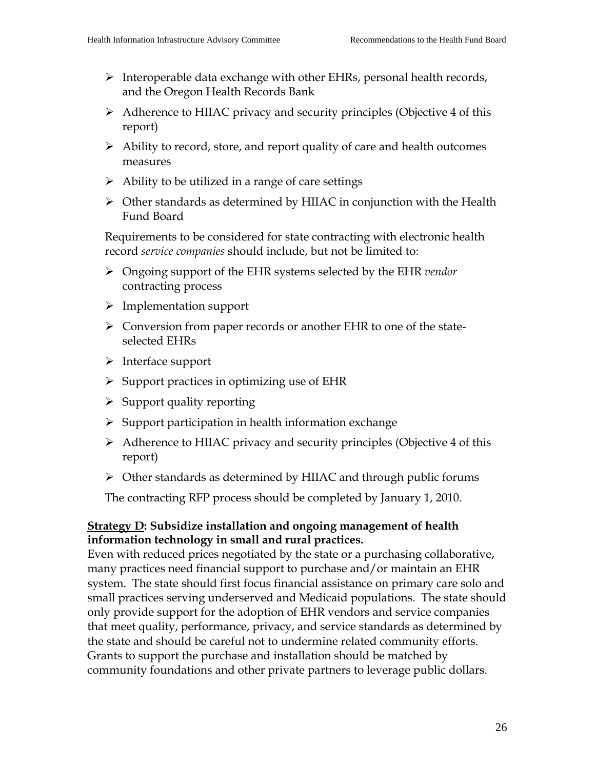- ¾ Interoperable data exchange with other EHRs, personal health records, and the Oregon Health Records Bank
- ¾ Adherence to HIIAC privacy and security principles (Objective 4 of this report)
- $\triangleright$  Ability to record, store, and report quality of care and health outcomes measures
- $\triangleright$  Ability to be utilized in a range of care settings
- $\triangleright$  Other standards as determined by HIIAC in conjunction with the Health Fund Board

Requirements to be considered for state contracting with electronic health record *service companies* should include, but not be limited to:

- ¾ Ongoing support of the EHR systems selected by the EHR *vendor*  contracting process
- $\triangleright$  Implementation support
- $\triangleright$  Conversion from paper records or another EHR to one of the stateselected EHRs
- $\triangleright$  Interface support
- $\triangleright$  Support practices in optimizing use of EHR
- $\triangleright$  Support quality reporting
- $\triangleright$  Support participation in health information exchange
- ¾ Adherence to HIIAC privacy and security principles (Objective 4 of this report)
- $\triangleright$  Other standards as determined by HIIAC and through public forums

The contracting RFP process should be completed by January 1, 2010.

#### **Strategy D: Subsidize installation and ongoing management of health information technology in small and rural practices.**

Even with reduced prices negotiated by the state or a purchasing collaborative, many practices need financial support to purchase and/or maintain an EHR system. The state should first focus financial assistance on primary care solo and small practices serving underserved and Medicaid populations. The state should only provide support for the adoption of EHR vendors and service companies that meet quality, performance, privacy, and service standards as determined by the state and should be careful not to undermine related community efforts. Grants to support the purchase and installation should be matched by community foundations and other private partners to leverage public dollars.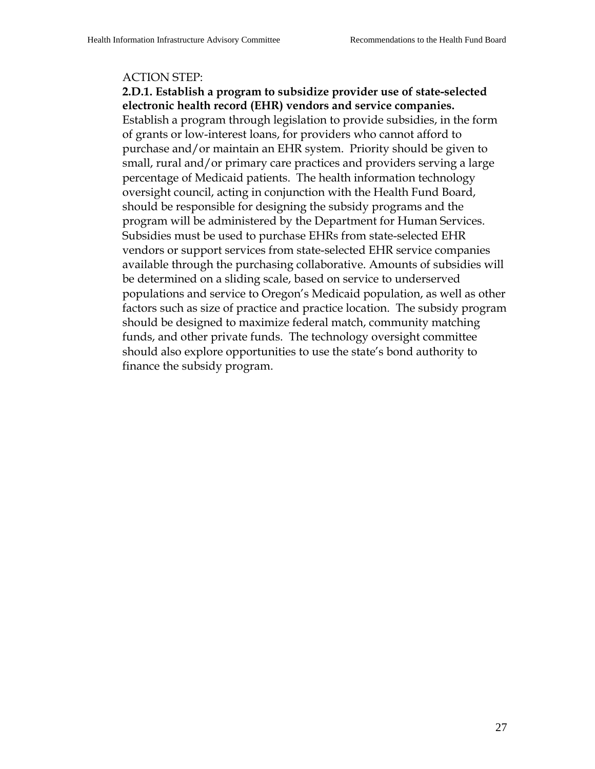#### ACTION STEP:

#### **2.D.1. Establish a program to subsidize provider use of state-selected electronic health record (EHR) vendors and service companies.**

Establish a program through legislation to provide subsidies, in the form of grants or low-interest loans, for providers who cannot afford to purchase and/or maintain an EHR system. Priority should be given to small, rural and/or primary care practices and providers serving a large percentage of Medicaid patients. The health information technology oversight council, acting in conjunction with the Health Fund Board, should be responsible for designing the subsidy programs and the program will be administered by the Department for Human Services. Subsidies must be used to purchase EHRs from state-selected EHR vendors or support services from state-selected EHR service companies available through the purchasing collaborative. Amounts of subsidies will be determined on a sliding scale, based on service to underserved populations and service to Oregon's Medicaid population, as well as other factors such as size of practice and practice location. The subsidy program should be designed to maximize federal match, community matching funds, and other private funds. The technology oversight committee should also explore opportunities to use the state's bond authority to finance the subsidy program.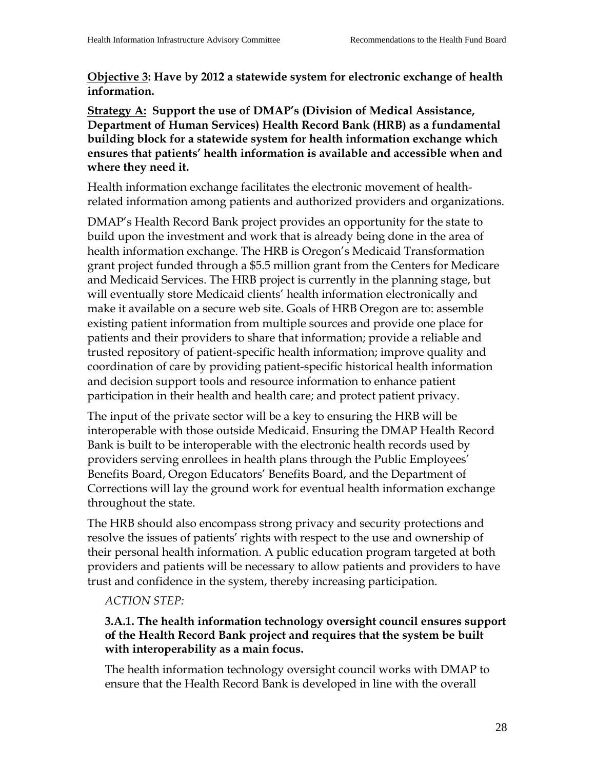**Objective 3: Have by 2012 a statewide system for electronic exchange of health information.** 

**Strategy A: Support the use of DMAP's (Division of Medical Assistance, Department of Human Services) Health Record Bank (HRB) as a fundamental building block for a statewide system for health information exchange which ensures that patients' health information is available and accessible when and where they need it.** 

Health information exchange facilitates the electronic movement of healthrelated information among patients and authorized providers and organizations.

DMAP's Health Record Bank project provides an opportunity for the state to build upon the investment and work that is already being done in the area of health information exchange. The HRB is Oregon's Medicaid Transformation grant project funded through a \$5.5 million grant from the Centers for Medicare and Medicaid Services. The HRB project is currently in the planning stage, but will eventually store Medicaid clients' health information electronically and make it available on a secure web site. Goals of HRB Oregon are to: assemble existing patient information from multiple sources and provide one place for patients and their providers to share that information; provide a reliable and trusted repository of patient-specific health information; improve quality and coordination of care by providing patient-specific historical health information and decision support tools and resource information to enhance patient participation in their health and health care; and protect patient privacy.

The input of the private sector will be a key to ensuring the HRB will be interoperable with those outside Medicaid. Ensuring the DMAP Health Record Bank is built to be interoperable with the electronic health records used by providers serving enrollees in health plans through the Public Employees' Benefits Board, Oregon Educators' Benefits Board, and the Department of Corrections will lay the ground work for eventual health information exchange throughout the state.

The HRB should also encompass strong privacy and security protections and resolve the issues of patients' rights with respect to the use and ownership of their personal health information. A public education program targeted at both providers and patients will be necessary to allow patients and providers to have trust and confidence in the system, thereby increasing participation.

#### *ACTION STEP:*

#### **3.A.1. The health information technology oversight council ensures support of the Health Record Bank project and requires that the system be built with interoperability as a main focus.**

The health information technology oversight council works with DMAP to ensure that the Health Record Bank is developed in line with the overall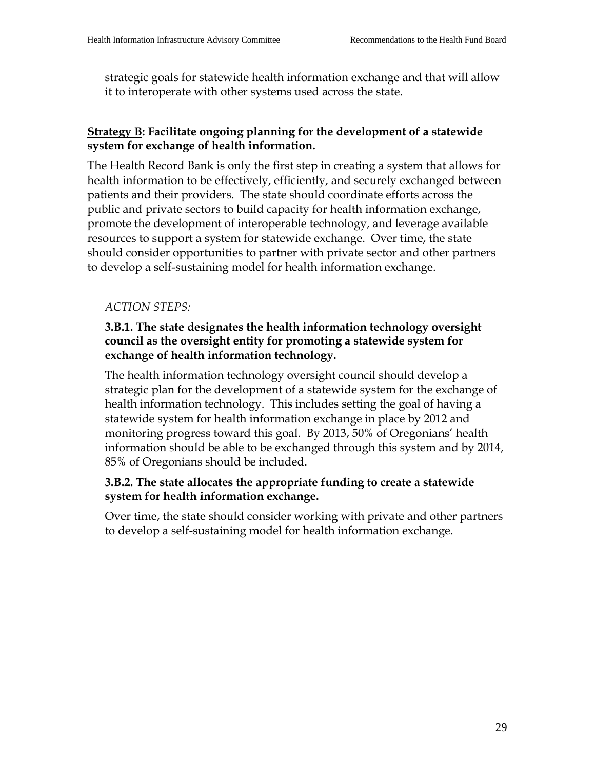strategic goals for statewide health information exchange and that will allow it to interoperate with other systems used across the state.

### **Strategy B: Facilitate ongoing planning for the development of a statewide system for exchange of health information.**

The Health Record Bank is only the first step in creating a system that allows for health information to be effectively, efficiently, and securely exchanged between patients and their providers. The state should coordinate efforts across the public and private sectors to build capacity for health information exchange, promote the development of interoperable technology, and leverage available resources to support a system for statewide exchange. Over time, the state should consider opportunities to partner with private sector and other partners to develop a self-sustaining model for health information exchange.

### *ACTION STEPS:*

### **3.B.1. The state designates the health information technology oversight council as the oversight entity for promoting a statewide system for exchange of health information technology.**

The health information technology oversight council should develop a strategic plan for the development of a statewide system for the exchange of health information technology. This includes setting the goal of having a statewide system for health information exchange in place by 2012 and monitoring progress toward this goal. By 2013, 50% of Oregonians' health information should be able to be exchanged through this system and by 2014, 85% of Oregonians should be included.

### **3.B.2. The state allocates the appropriate funding to create a statewide system for health information exchange.**

Over time, the state should consider working with private and other partners to develop a self-sustaining model for health information exchange.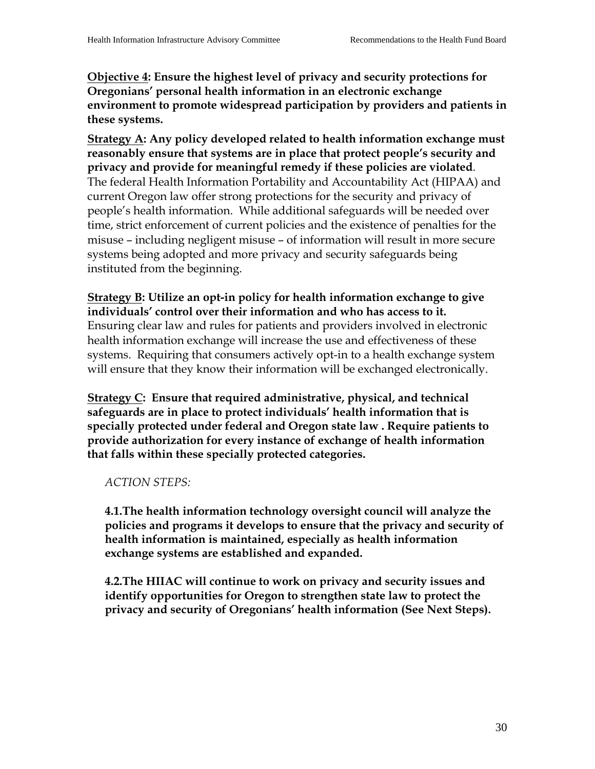**Objective 4: Ensure the highest level of privacy and security protections for Oregonians' personal health information in an electronic exchange environment to promote widespread participation by providers and patients in these systems.** 

**Strategy A: Any policy developed related to health information exchange must reasonably ensure that systems are in place that protect people's security and privacy and provide for meaningful remedy if these policies are violated**. The federal Health Information Portability and Accountability Act (HIPAA) and current Oregon law offer strong protections for the security and privacy of people's health information. While additional safeguards will be needed over time, strict enforcement of current policies and the existence of penalties for the misuse – including negligent misuse – of information will result in more secure systems being adopted and more privacy and security safeguards being instituted from the beginning.

**Strategy B: Utilize an opt-in policy for health information exchange to give individuals' control over their information and who has access to it.**  Ensuring clear law and rules for patients and providers involved in electronic health information exchange will increase the use and effectiveness of these systems. Requiring that consumers actively opt-in to a health exchange system will ensure that they know their information will be exchanged electronically.

**Strategy C: Ensure that required administrative, physical, and technical safeguards are in place to protect individuals' health information that is specially protected under federal and Oregon state law . Require patients to provide authorization for every instance of exchange of health information that falls within these specially protected categories.** 

*ACTION STEPS:* 

**4.1.The health information technology oversight council will analyze the policies and programs it develops to ensure that the privacy and security of health information is maintained, especially as health information exchange systems are established and expanded.** 

**4.2.The HIIAC will continue to work on privacy and security issues and identify opportunities for Oregon to strengthen state law to protect the privacy and security of Oregonians' health information (See Next Steps).**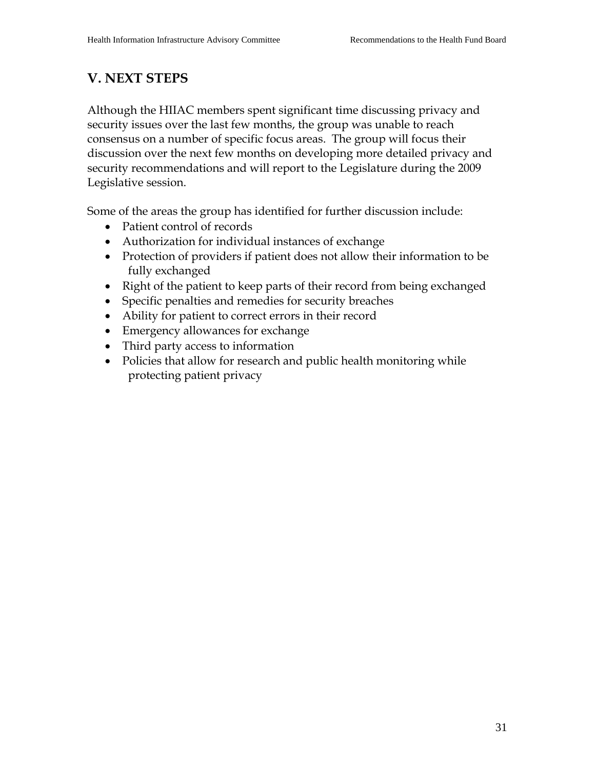# **V. NEXT STEPS**

Although the HIIAC members spent significant time discussing privacy and security issues over the last few months, the group was unable to reach consensus on a number of specific focus areas. The group will focus their discussion over the next few months on developing more detailed privacy and security recommendations and will report to the Legislature during the 2009 Legislative session.

Some of the areas the group has identified for further discussion include:

- Patient control of records
- Authorization for individual instances of exchange
- Protection of providers if patient does not allow their information to be fully exchanged
- Right of the patient to keep parts of their record from being exchanged
- Specific penalties and remedies for security breaches
- Ability for patient to correct errors in their record
- Emergency allowances for exchange
- Third party access to information
- Policies that allow for research and public health monitoring while protecting patient privacy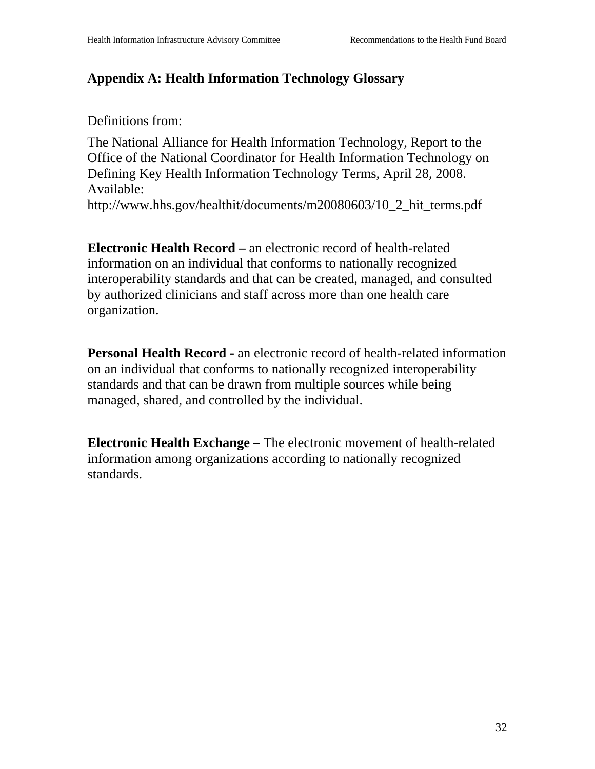### **Appendix A: Health Information Technology Glossary**

Definitions from:

The National Alliance for Health Information Technology, Report to the Office of the National Coordinator for Health Information Technology on Defining Key Health Information Technology Terms, April 28, 2008. Available: http://www.hhs.gov/healthit/documents/m20080603/10\_2\_hit\_terms.pdf

**Electronic Health Record –** an electronic record of health-related information on an individual that conforms to nationally recognized interoperability standards and that can be created, managed, and consulted by authorized clinicians and staff across more than one health care organization.

**Personal Health Record -** an electronic record of health-related information on an individual that conforms to nationally recognized interoperability standards and that can be drawn from multiple sources while being managed, shared, and controlled by the individual.

**Electronic Health Exchange –** The electronic movement of health-related information among organizations according to nationally recognized standards.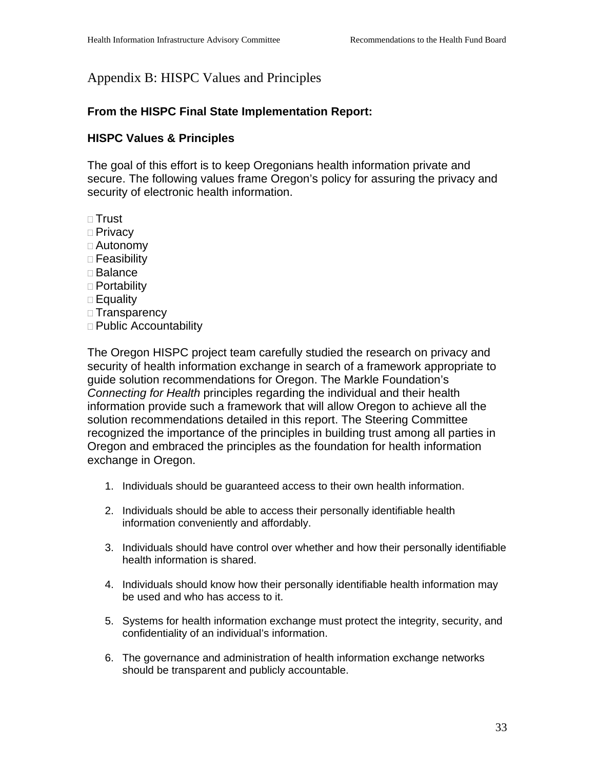### Appendix B: HISPC Values and Principles

#### **From the HISPC Final State Implementation Report:**

#### **HISPC Values & Principles**

The goal of this effort is to keep Oregonians health information private and secure. The following values frame Oregon's policy for assuring the privacy and security of electronic health information.

- □ Trust
- □ Privacy
- Autonomy
- □ Feasibility
- Balance
- Portability
- □ Equality
- □ Transparency
- □ Public Accountability

The Oregon HISPC project team carefully studied the research on privacy and security of health information exchange in search of a framework appropriate to guide solution recommendations for Oregon. The Markle Foundation's *Connecting for Health* principles regarding the individual and their health information provide such a framework that will allow Oregon to achieve all the solution recommendations detailed in this report. The Steering Committee recognized the importance of the principles in building trust among all parties in Oregon and embraced the principles as the foundation for health information exchange in Oregon.

- 1. Individuals should be guaranteed access to their own health information.
- 2. Individuals should be able to access their personally identifiable health information conveniently and affordably.
- 3. Individuals should have control over whether and how their personally identifiable health information is shared.
- 4. Individuals should know how their personally identifiable health information may be used and who has access to it.
- 5. Systems for health information exchange must protect the integrity, security, and confidentiality of an individual's information.
- 6. The governance and administration of health information exchange networks should be transparent and publicly accountable.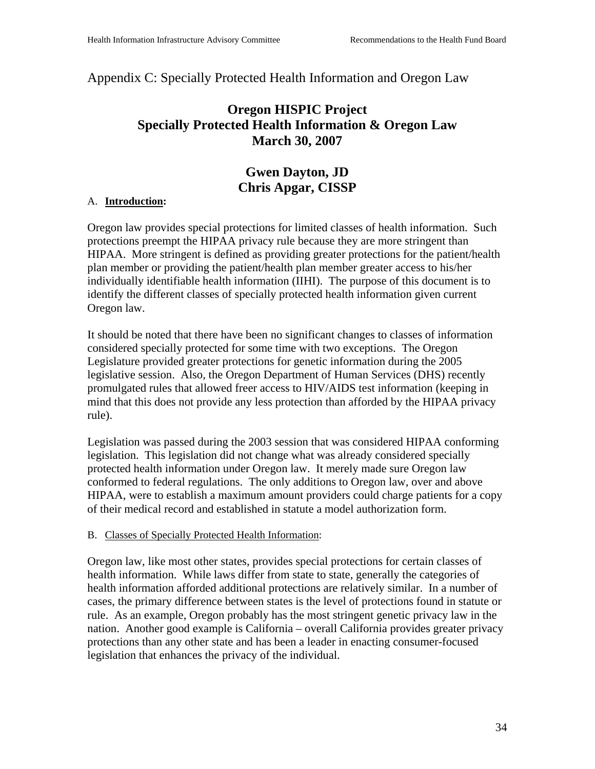### Appendix C: Specially Protected Health Information and Oregon Law

### **Oregon HISPIC Project Specially Protected Health Information & Oregon Law March 30, 2007**

# **Gwen Dayton, JD Chris Apgar, CISSP**

#### A. **Introduction:**

Oregon law provides special protections for limited classes of health information. Such protections preempt the HIPAA privacy rule because they are more stringent than HIPAA. More stringent is defined as providing greater protections for the patient/health plan member or providing the patient/health plan member greater access to his/her individually identifiable health information (IIHI). The purpose of this document is to identify the different classes of specially protected health information given current Oregon law.

It should be noted that there have been no significant changes to classes of information considered specially protected for some time with two exceptions. The Oregon Legislature provided greater protections for genetic information during the 2005 legislative session. Also, the Oregon Department of Human Services (DHS) recently promulgated rules that allowed freer access to HIV/AIDS test information (keeping in mind that this does not provide any less protection than afforded by the HIPAA privacy rule).

Legislation was passed during the 2003 session that was considered HIPAA conforming legislation. This legislation did not change what was already considered specially protected health information under Oregon law. It merely made sure Oregon law conformed to federal regulations. The only additions to Oregon law, over and above HIPAA, were to establish a maximum amount providers could charge patients for a copy of their medical record and established in statute a model authorization form.

#### B. Classes of Specially Protected Health Information:

Oregon law, like most other states, provides special protections for certain classes of health information. While laws differ from state to state, generally the categories of health information afforded additional protections are relatively similar. In a number of cases, the primary difference between states is the level of protections found in statute or rule. As an example, Oregon probably has the most stringent genetic privacy law in the nation. Another good example is California – overall California provides greater privacy protections than any other state and has been a leader in enacting consumer-focused legislation that enhances the privacy of the individual.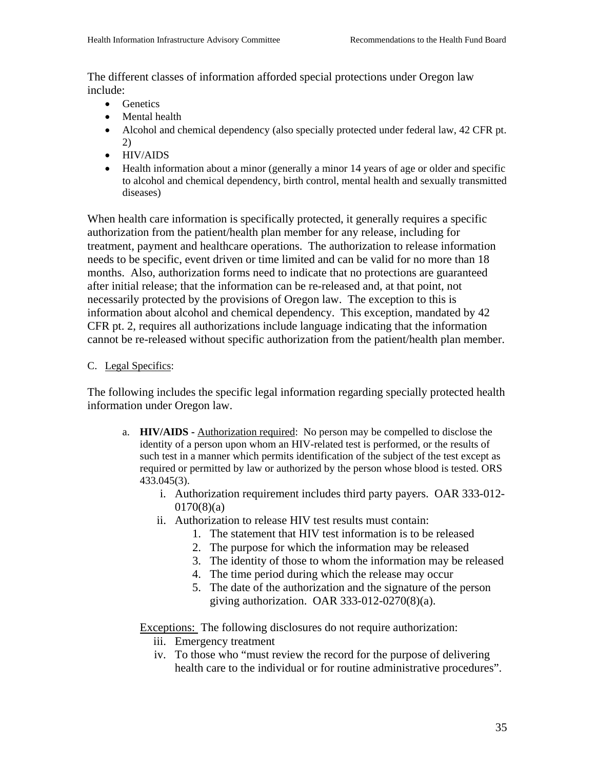The different classes of information afforded special protections under Oregon law include:

- Genetics
- Mental health
- Alcohol and chemical dependency (also specially protected under federal law, 42 CFR pt. 2)
- HIV/AIDS
- Health information about a minor (generally a minor 14 years of age or older and specific to alcohol and chemical dependency, birth control, mental health and sexually transmitted diseases)

When health care information is specifically protected, it generally requires a specific authorization from the patient/health plan member for any release, including for treatment, payment and healthcare operations. The authorization to release information needs to be specific, event driven or time limited and can be valid for no more than 18 months. Also, authorization forms need to indicate that no protections are guaranteed after initial release; that the information can be re-released and, at that point, not necessarily protected by the provisions of Oregon law. The exception to this is information about alcohol and chemical dependency. This exception, mandated by 42 CFR pt. 2, requires all authorizations include language indicating that the information cannot be re-released without specific authorization from the patient/health plan member.

#### C. Legal Specifics:

The following includes the specific legal information regarding specially protected health information under Oregon law.

- a. **HIV/AIDS** Authorization required: No person may be compelled to disclose the identity of a person upon whom an HIV-related test is performed, or the results of such test in a manner which permits identification of the subject of the test except as required or permitted by law or authorized by the person whose blood is tested. ORS 433.045(3).
	- i. Authorization requirement includes third party payers. OAR 333-012- 0170(8)(a)
	- ii. Authorization to release HIV test results must contain:
		- 1. The statement that HIV test information is to be released
		- 2. The purpose for which the information may be released
		- 3. The identity of those to whom the information may be released
		- 4. The time period during which the release may occur
		- 5. The date of the authorization and the signature of the person giving authorization. OAR 333-012-0270(8)(a).

Exceptions: The following disclosures do not require authorization:

- iii. Emergency treatment
- iv. To those who "must review the record for the purpose of delivering health care to the individual or for routine administrative procedures".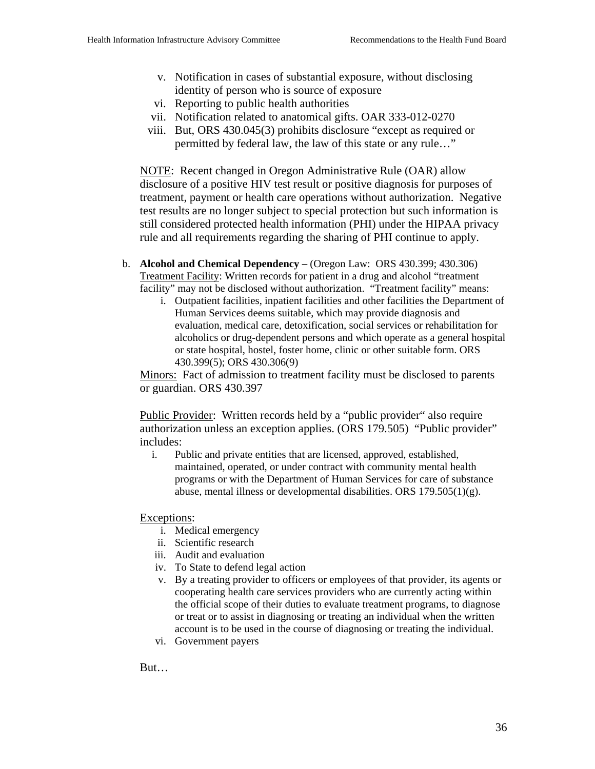- v. Notification in cases of substantial exposure, without disclosing identity of person who is source of exposure
- vi. Reporting to public health authorities
- vii. Notification related to anatomical gifts. OAR 333-012-0270
- viii. But, ORS 430.045(3) prohibits disclosure "except as required or permitted by federal law, the law of this state or any rule…"

NOTE: Recent changed in Oregon Administrative Rule (OAR) allow disclosure of a positive HIV test result or positive diagnosis for purposes of treatment, payment or health care operations without authorization. Negative test results are no longer subject to special protection but such information is still considered protected health information (PHI) under the HIPAA privacy rule and all requirements regarding the sharing of PHI continue to apply.

- b. **Alcohol and Chemical Dependency** (Oregon Law: ORS 430.399; 430.306) Treatment Facility: Written records for patient in a drug and alcohol "treatment facility" may not be disclosed without authorization. "Treatment facility" means:
	- i. Outpatient facilities, inpatient facilities and other facilities the Department of Human Services deems suitable, which may provide diagnosis and evaluation, medical care, detoxification, social services or rehabilitation for alcoholics or drug-dependent persons and which operate as a general hospital or state hospital, hostel, foster home, clinic or other suitable form. ORS 430.399(5); ORS 430.306(9)

Minors: Fact of admission to treatment facility must be disclosed to parents or guardian. ORS 430.397

Public Provider: Written records held by a "public provider" also require authorization unless an exception applies. (ORS 179.505) "Public provider" includes:

i. Public and private entities that are licensed, approved, established, maintained, operated, or under contract with community mental health programs or with the Department of Human Services for care of substance abuse, mental illness or developmental disabilities. ORS 179.505(1)(g).

Exceptions:

- i. Medical emergency
- ii. Scientific research
- iii. Audit and evaluation
- iv. To State to defend legal action
- v. By a treating provider to officers or employees of that provider, its agents or cooperating health care services providers who are currently acting within the official scope of their duties to evaluate treatment programs, to diagnose or treat or to assist in diagnosing or treating an individual when the written account is to be used in the course of diagnosing or treating the individual.
- vi. Government payers

But…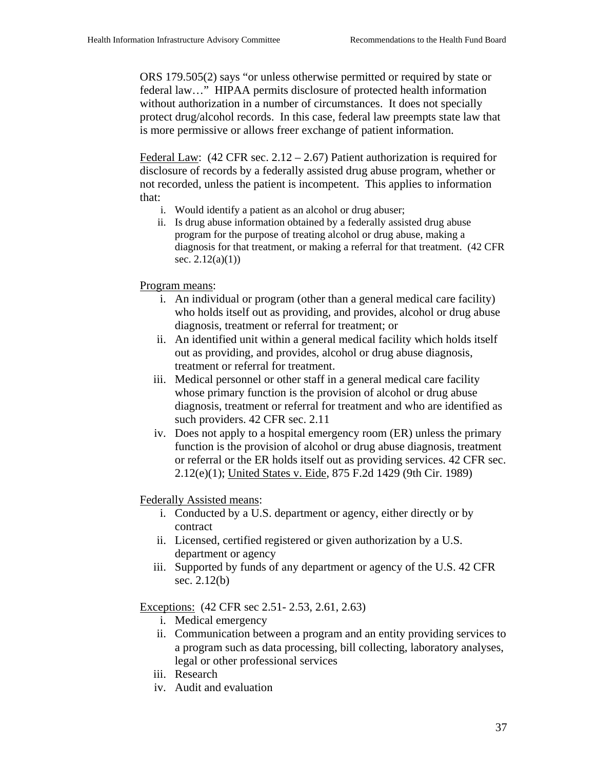ORS 179.505(2) says "or unless otherwise permitted or required by state or federal law…" HIPAA permits disclosure of protected health information without authorization in a number of circumstances. It does not specially protect drug/alcohol records. In this case, federal law preempts state law that is more permissive or allows freer exchange of patient information.

Federal Law: (42 CFR sec. 2.12 – 2.67) Patient authorization is required for disclosure of records by a federally assisted drug abuse program, whether or not recorded, unless the patient is incompetent. This applies to information that:

- i. Would identify a patient as an alcohol or drug abuser;
- ii. Is drug abuse information obtained by a federally assisted drug abuse program for the purpose of treating alcohol or drug abuse, making a diagnosis for that treatment, or making a referral for that treatment. (42 CFR sec.  $2.12(a)(1)$ )

#### Program means:

- i. An individual or program (other than a general medical care facility) who holds itself out as providing, and provides, alcohol or drug abuse diagnosis, treatment or referral for treatment; or
- ii. An identified unit within a general medical facility which holds itself out as providing, and provides, alcohol or drug abuse diagnosis, treatment or referral for treatment.
- iii. Medical personnel or other staff in a general medical care facility whose primary function is the provision of alcohol or drug abuse diagnosis, treatment or referral for treatment and who are identified as such providers. 42 CFR sec. 2.11
- iv. Does not apply to a hospital emergency room (ER) unless the primary function is the provision of alcohol or drug abuse diagnosis, treatment or referral or the ER holds itself out as providing services. 42 CFR sec. 2.12(e)(1); United States v. Eide, 875 F.2d 1429 (9th Cir. 1989)

Federally Assisted means:

- i. Conducted by a U.S. department or agency, either directly or by contract
- ii. Licensed, certified registered or given authorization by a U.S. department or agency
- iii. Supported by funds of any department or agency of the U.S. 42 CFR sec. 2.12(b)

Exceptions: (42 CFR sec 2.51- 2.53, 2.61, 2.63)

- i. Medical emergency
- ii. Communication between a program and an entity providing services to a program such as data processing, bill collecting, laboratory analyses, legal or other professional services
- iii. Research
- iv. Audit and evaluation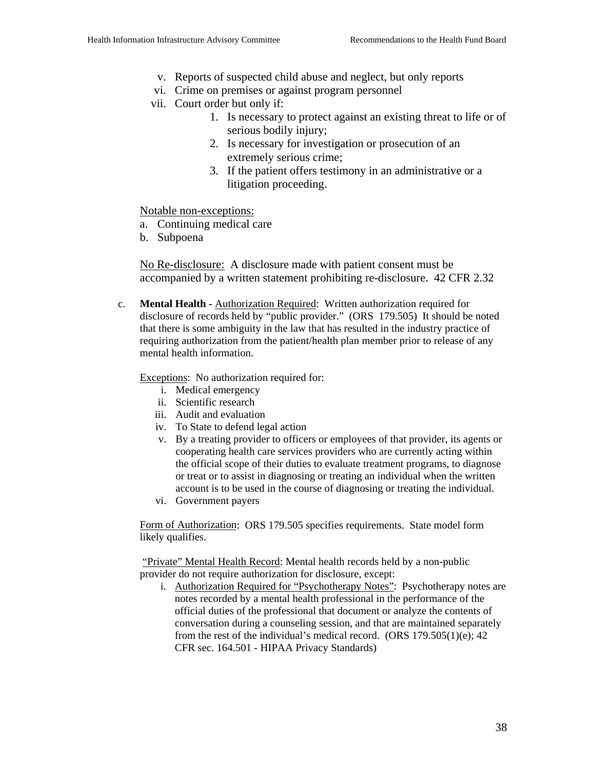- v. Reports of suspected child abuse and neglect, but only reports
- vi. Crime on premises or against program personnel
- vii. Court order but only if:
	- 1. Is necessary to protect against an existing threat to life or of serious bodily injury;
	- 2. Is necessary for investigation or prosecution of an extremely serious crime;
	- 3. If the patient offers testimony in an administrative or a litigation proceeding.

#### Notable non-exceptions:

- a. Continuing medical care
- b. Subpoena

No Re-disclosure: A disclosure made with patient consent must be accompanied by a written statement prohibiting re-disclosure. 42 CFR 2.32

c. **Mental Health -** Authorization Required: Written authorization required for disclosure of records held by "public provider." (ORS 179.505) It should be noted that there is some ambiguity in the law that has resulted in the industry practice of requiring authorization from the patient/health plan member prior to release of any mental health information.

Exceptions: No authorization required for:

- i. Medical emergency
- ii. Scientific research
- iii. Audit and evaluation
- iv. To State to defend legal action
- v. By a treating provider to officers or employees of that provider, its agents or cooperating health care services providers who are currently acting within the official scope of their duties to evaluate treatment programs, to diagnose or treat or to assist in diagnosing or treating an individual when the written account is to be used in the course of diagnosing or treating the individual.
- vi. Government payers

Form of Authorization: ORS 179.505 specifies requirements. State model form likely qualifies.

 "Private" Mental Health Record: Mental health records held by a non-public provider do not require authorization for disclosure, except:

i. Authorization Required for "Psychotherapy Notes": Psychotherapy notes are notes recorded by a mental health professional in the performance of the official duties of the professional that document or analyze the contents of conversation during a counseling session, and that are maintained separately from the rest of the individual's medical record. (ORS 179.505(1)(e); 42 CFR sec. 164.501 - HIPAA Privacy Standards)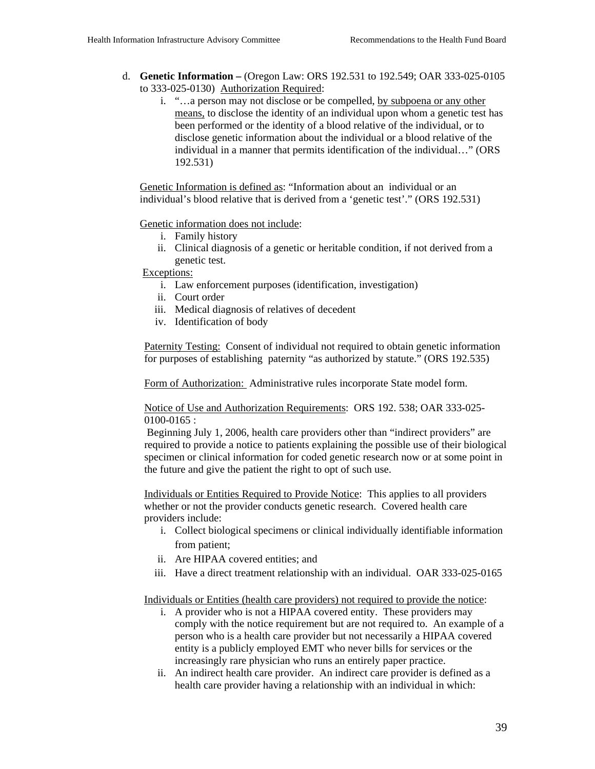- d. **Genetic Information** (Oregon Law: ORS 192.531 to 192.549; OAR 333-025-0105 to 333-025-0130) Authorization Required:
	- i. "…a person may not disclose or be compelled, by subpoena or any other means, to disclose the identity of an individual upon whom a genetic test has been performed or the identity of a blood relative of the individual, or to disclose genetic information about the individual or a blood relative of the individual in a manner that permits identification of the individual…" (ORS 192.531)

Genetic Information is defined as: "Information about an individual or an individual's blood relative that is derived from a 'genetic test'." (ORS 192.531)

#### Genetic information does not include:

- i. Family history
- ii. Clinical diagnosis of a genetic or heritable condition, if not derived from a genetic test.

#### Exceptions:

- i. Law enforcement purposes (identification, investigation)
- ii. Court order
- iii. Medical diagnosis of relatives of decedent
- iv. Identification of body

Paternity Testing: Consent of individual not required to obtain genetic information for purposes of establishing paternity "as authorized by statute." (ORS 192.535)

Form of Authorization: Administrative rules incorporate State model form.

Notice of Use and Authorization Requirements: ORS 192. 538; OAR 333-025- 0100-0165 :

 Beginning July 1, 2006, health care providers other than "indirect providers" are required to provide a notice to patients explaining the possible use of their biological specimen or clinical information for coded genetic research now or at some point in the future and give the patient the right to opt of such use.

Individuals or Entities Required to Provide Notice: This applies to all providers whether or not the provider conducts genetic research. Covered health care providers include:

- i. Collect biological specimens or clinical individually identifiable information from patient;
- ii. Are HIPAA covered entities; and
- iii. Have a direct treatment relationship with an individual. OAR 333-025-0165

Individuals or Entities (health care providers) not required to provide the notice:

- i. A provider who is not a HIPAA covered entity. These providers may comply with the notice requirement but are not required to. An example of a person who is a health care provider but not necessarily a HIPAA covered entity is a publicly employed EMT who never bills for services or the increasingly rare physician who runs an entirely paper practice.
- ii. An indirect health care provider. An indirect care provider is defined as a health care provider having a relationship with an individual in which: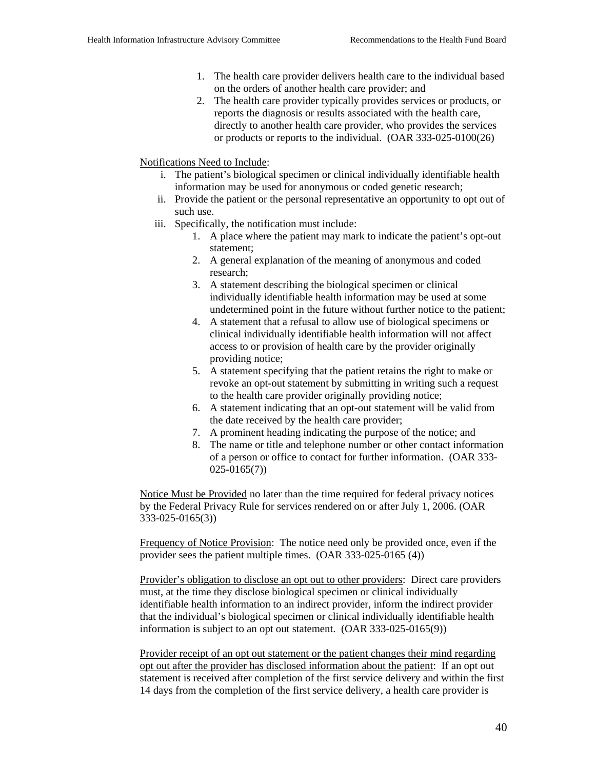- 1. The health care provider delivers health care to the individual based on the orders of another health care provider; and
- 2. The health care provider typically provides services or products, or reports the diagnosis or results associated with the health care, directly to another health care provider, who provides the services or products or reports to the individual. (OAR 333-025-0100(26)

Notifications Need to Include:

- i. The patient's biological specimen or clinical individually identifiable health information may be used for anonymous or coded genetic research;
- ii. Provide the patient or the personal representative an opportunity to opt out of such use.
- iii. Specifically, the notification must include:
	- 1. A place where the patient may mark to indicate the patient's opt-out statement;
	- 2. A general explanation of the meaning of anonymous and coded research;
	- 3. A statement describing the biological specimen or clinical individually identifiable health information may be used at some undetermined point in the future without further notice to the patient;
	- 4. A statement that a refusal to allow use of biological specimens or clinical individually identifiable health information will not affect access to or provision of health care by the provider originally providing notice;
	- 5. A statement specifying that the patient retains the right to make or revoke an opt-out statement by submitting in writing such a request to the health care provider originally providing notice;
	- 6. A statement indicating that an opt-out statement will be valid from the date received by the health care provider;
	- 7. A prominent heading indicating the purpose of the notice; and
	- 8. The name or title and telephone number or other contact information of a person or office to contact for further information. (OAR 333- 025-0165(7))

Notice Must be Provided no later than the time required for federal privacy notices by the Federal Privacy Rule for services rendered on or after July 1, 2006. (OAR 333-025-0165(3))

Frequency of Notice Provision: The notice need only be provided once, even if the provider sees the patient multiple times. (OAR 333-025-0165 (4))

Provider's obligation to disclose an opt out to other providers: Direct care providers must, at the time they disclose biological specimen or clinical individually identifiable health information to an indirect provider, inform the indirect provider that the individual's biological specimen or clinical individually identifiable health information is subject to an opt out statement. (OAR 333-025-0165(9))

Provider receipt of an opt out statement or the patient changes their mind regarding opt out after the provider has disclosed information about the patient: If an opt out statement is received after completion of the first service delivery and within the first 14 days from the completion of the first service delivery, a health care provider is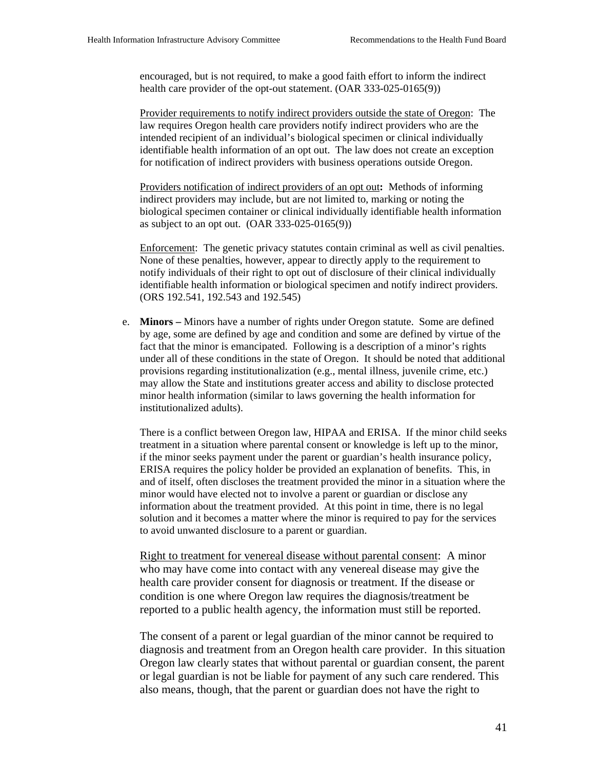encouraged, but is not required, to make a good faith effort to inform the indirect health care provider of the opt-out statement. (OAR 333-025-0165(9))

Provider requirements to notify indirect providers outside the state of Oregon: The law requires Oregon health care providers notify indirect providers who are the intended recipient of an individual's biological specimen or clinical individually identifiable health information of an opt out. The law does not create an exception for notification of indirect providers with business operations outside Oregon.

Providers notification of indirect providers of an opt out**:** Methods of informing indirect providers may include, but are not limited to, marking or noting the biological specimen container or clinical individually identifiable health information as subject to an opt out. (OAR 333-025-0165(9))

Enforcement: The genetic privacy statutes contain criminal as well as civil penalties. None of these penalties, however, appear to directly apply to the requirement to notify individuals of their right to opt out of disclosure of their clinical individually identifiable health information or biological specimen and notify indirect providers. (ORS 192.541, 192.543 and 192.545)

e. **Minors –** Minors have a number of rights under Oregon statute. Some are defined by age, some are defined by age and condition and some are defined by virtue of the fact that the minor is emancipated. Following is a description of a minor's rights under all of these conditions in the state of Oregon. It should be noted that additional provisions regarding institutionalization (e.g., mental illness, juvenile crime, etc.) may allow the State and institutions greater access and ability to disclose protected minor health information (similar to laws governing the health information for institutionalized adults).

There is a conflict between Oregon law, HIPAA and ERISA. If the minor child seeks treatment in a situation where parental consent or knowledge is left up to the minor, if the minor seeks payment under the parent or guardian's health insurance policy, ERISA requires the policy holder be provided an explanation of benefits. This, in and of itself, often discloses the treatment provided the minor in a situation where the minor would have elected not to involve a parent or guardian or disclose any information about the treatment provided. At this point in time, there is no legal solution and it becomes a matter where the minor is required to pay for the services to avoid unwanted disclosure to a parent or guardian.

Right to treatment for venereal disease without parental consent: A minor who may have come into contact with any venereal disease may give the health care provider consent for diagnosis or treatment. If the disease or condition is one where Oregon law requires the diagnosis/treatment be reported to a public health agency, the information must still be reported.

The consent of a parent or legal guardian of the minor cannot be required to diagnosis and treatment from an Oregon health care provider. In this situation Oregon law clearly states that without parental or guardian consent, the parent or legal guardian is not be liable for payment of any such care rendered. This also means, though, that the parent or guardian does not have the right to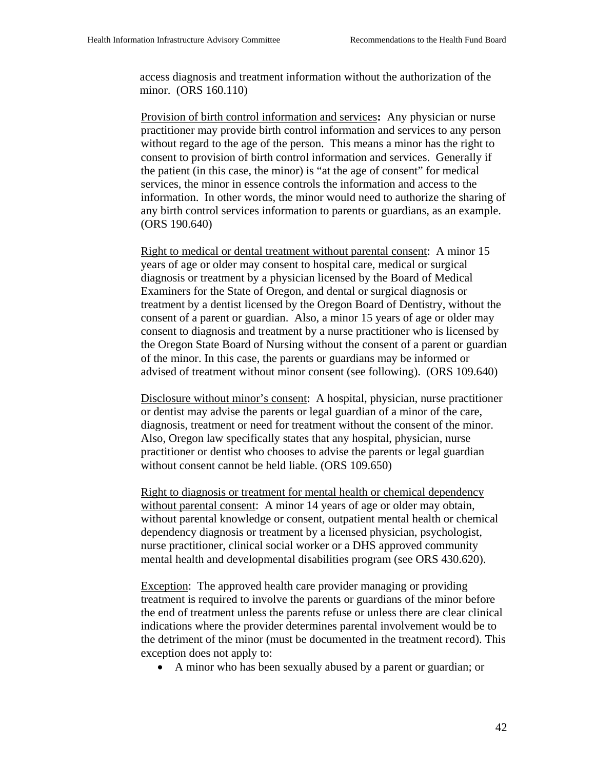access diagnosis and treatment information without the authorization of the minor. (ORS 160.110)

Provision of birth control information and services**:** Any physician or nurse practitioner may provide birth control information and services to any person without regard to the age of the person. This means a minor has the right to consent to provision of birth control information and services. Generally if the patient (in this case, the minor) is "at the age of consent" for medical services, the minor in essence controls the information and access to the information. In other words, the minor would need to authorize the sharing of any birth control services information to parents or guardians, as an example. (ORS 190.640)

Right to medical or dental treatment without parental consent: A minor 15 years of age or older may consent to hospital care, medical or surgical diagnosis or treatment by a physician licensed by the Board of Medical Examiners for the State of Oregon, and dental or surgical diagnosis or treatment by a dentist licensed by the Oregon Board of Dentistry, without the consent of a parent or guardian. Also, a minor 15 years of age or older may consent to diagnosis and treatment by a nurse practitioner who is licensed by the Oregon State Board of Nursing without the consent of a parent or guardian of the minor. In this case, the parents or guardians may be informed or advised of treatment without minor consent (see following). (ORS 109.640)

Disclosure without minor's consent: A hospital, physician, nurse practitioner or dentist may advise the parents or legal guardian of a minor of the care, diagnosis, treatment or need for treatment without the consent of the minor. Also, Oregon law specifically states that any hospital, physician, nurse practitioner or dentist who chooses to advise the parents or legal guardian without consent cannot be held liable. (ORS 109.650)

Right to diagnosis or treatment for mental health or chemical dependency without parental consent: A minor 14 years of age or older may obtain, without parental knowledge or consent, outpatient mental health or chemical dependency diagnosis or treatment by a licensed physician, psychologist, nurse practitioner, clinical social worker or a DHS approved community mental health and developmental disabilities program (see ORS 430.620).

Exception: The approved health care provider managing or providing treatment is required to involve the parents or guardians of the minor before the end of treatment unless the parents refuse or unless there are clear clinical indications where the provider determines parental involvement would be to the detriment of the minor (must be documented in the treatment record). This exception does not apply to:

• A minor who has been sexually abused by a parent or guardian; or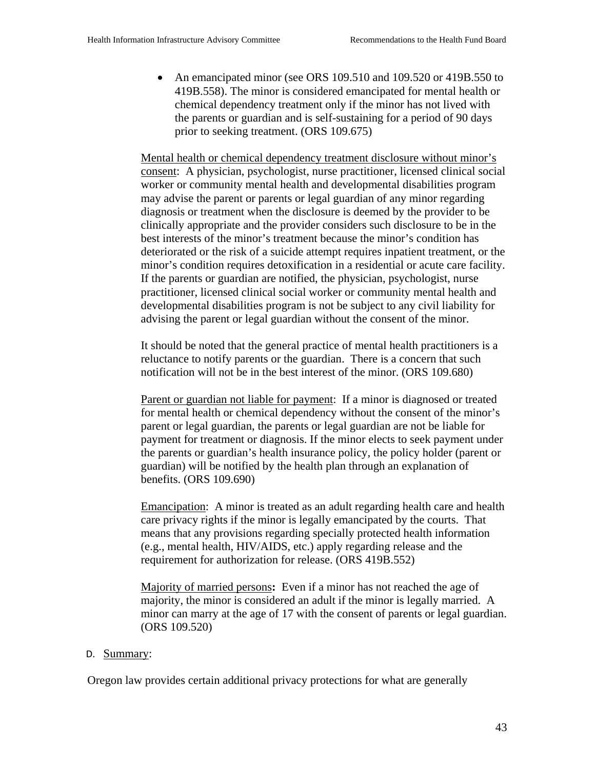• An emancipated minor (see ORS 109.510 and 109.520 or 419B.550 to 419B.558). The minor is considered emancipated for mental health or chemical dependency treatment only if the minor has not lived with the parents or guardian and is self-sustaining for a period of 90 days prior to seeking treatment. (ORS 109.675)

Mental health or chemical dependency treatment disclosure without minor's consent: A physician, psychologist, nurse practitioner, licensed clinical social worker or community mental health and developmental disabilities program may advise the parent or parents or legal guardian of any minor regarding diagnosis or treatment when the disclosure is deemed by the provider to be clinically appropriate and the provider considers such disclosure to be in the best interests of the minor's treatment because the minor's condition has deteriorated or the risk of a suicide attempt requires inpatient treatment, or the minor's condition requires detoxification in a residential or acute care facility. If the parents or guardian are notified, the physician, psychologist, nurse practitioner, licensed clinical social worker or community mental health and developmental disabilities program is not be subject to any civil liability for advising the parent or legal guardian without the consent of the minor.

It should be noted that the general practice of mental health practitioners is a reluctance to notify parents or the guardian. There is a concern that such notification will not be in the best interest of the minor. (ORS 109.680)

Parent or guardian not liable for payment:If a minor is diagnosed or treated for mental health or chemical dependency without the consent of the minor's parent or legal guardian, the parents or legal guardian are not be liable for payment for treatment or diagnosis. If the minor elects to seek payment under the parents or guardian's health insurance policy, the policy holder (parent or guardian) will be notified by the health plan through an explanation of benefits. (ORS 109.690)

Emancipation: A minor is treated as an adult regarding health care and health care privacy rights if the minor is legally emancipated by the courts. That means that any provisions regarding specially protected health information (e.g., mental health, HIV/AIDS, etc.) apply regarding release and the requirement for authorization for release. (ORS 419B.552)

Majority of married persons**:** Even if a minor has not reached the age of majority, the minor is considered an adult if the minor is legally married. A minor can marry at the age of 17 with the consent of parents or legal guardian. (ORS 109.520)

#### D. Summary:

Oregon law provides certain additional privacy protections for what are generally